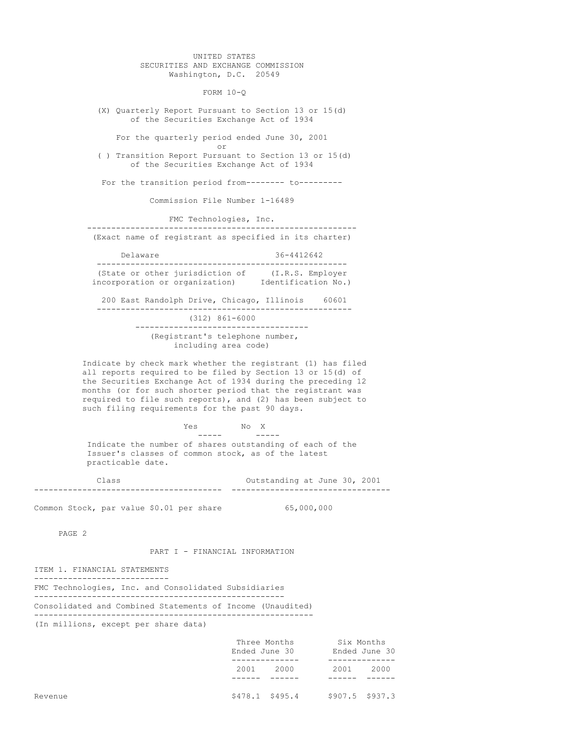UNITED STATES SECURITIES AND EXCHANGE COMMISSION Washington, D.C. 20549

FORM 10-Q

(X) Quarterly Report Pursuant to Section 13 or 15(d) of the Securities Exchange Act of 1934

For the quarterly period ended June 30, 2001

or ( ) Transition Report Pursuant to Section 13 or 15(d) of the Securities Exchange Act of 1934

For the transition period from-------- to---------

Commission File Number 1-16489

FMC Technologies, Inc.

-------------------------------------------------------- (Exact name of registrant as specified in its charter)

| Delaware                        |  | 36-4412642          |  |  |
|---------------------------------|--|---------------------|--|--|
|                                 |  |                     |  |  |
| (State or other jurisdiction of |  | (I.R.S. Employer)   |  |  |
| incorporation or organization)  |  | Identification No.) |  |  |

200 East Randolph Drive, Chicago, Illinois 60601 ----------------------------------------------------- (312) 861-6000 ------------------------------------ (Registrant's telephone number, including area code)

Indicate by check mark whether the registrant (1) has filed all reports required to be filed by Section 13 or 15(d) of the Securities Exchange Act of 1934 during the preceding 12 months (or for such shorter period that the registrant was required to file such reports), and (2) has been subject to such filing requirements for the past 90 days.

 $Yes$  No X<br>-----  $\qquad -1$ ----- ----- Indicate the number of shares outstanding of each of the Issuer's classes of common stock, as of the latest practicable date.

Class Outstanding at June 30, 2001 --------------------------------------- ---------------------------------

Common Stock, par value \$0.01 per share 65,000,000

PAGE 2

PART I - FINANCIAL INFORMATION

ITEM 1. FINANCIAL STATEMENTS ----------------------------

FMC Technologies, Inc. and Consolidated Subsidiaries ---------------------------------------------------- Consolidated and Combined Statements of Income (Unaudited) ---------------------------------------------------------- (In millions, except per share data)

| Three Months |      | Six Months        |      |                  |
|--------------|------|-------------------|------|------------------|
|              |      | Ended June 30     |      | Ended June 30    |
|              |      |                   |      |                  |
|              | 2001 | 2000              | 2001 | 2000             |
|              |      |                   |      |                  |
| Revenue      |      | $$478.1$ $$495.4$ |      | $$907.5$ \$937.3 |
|              |      |                   |      |                  |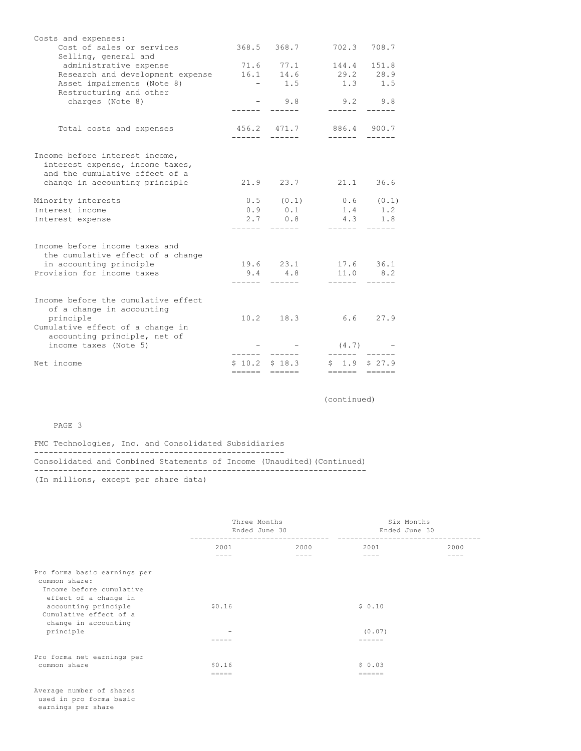| Costs and expenses:<br>Cost of sales or services                                                                                                  |                                                       | 368.5 368.7     | 702.3                  | 708.7         |
|---------------------------------------------------------------------------------------------------------------------------------------------------|-------------------------------------------------------|-----------------|------------------------|---------------|
| Selling, general and                                                                                                                              |                                                       |                 |                        |               |
| administrative expense                                                                                                                            |                                                       | 71.6 77.1       | 144.4                  | 151.8         |
| Research and development expense                                                                                                                  | 16.1                                                  | 14.6            | 29.2 28.9              |               |
| Asset impairments (Note 8)                                                                                                                        | $\mathcal{L}_{\rm{max}}$ and $\mathcal{L}_{\rm{max}}$ | 1.5             |                        | $1.3$ $1.5$   |
| Restructuring and other<br>charges (Note 8)                                                                                                       |                                                       | $-9.8$          | $9.2$ $9.8$<br>------- |               |
| Total costs and expenses                                                                                                                          | ------                                                | 456.2 471.7     | 886.4 900.7<br>------- |               |
| Income before interest income,<br>interest expense, income taxes,<br>and the cumulative effect of a<br>change in accounting principle             |                                                       | $21.9$ $23.7$   | 21.1                   | 36.6          |
| Minority interests                                                                                                                                |                                                       | $0.5$ $(0.1)$   | $0.6$ $(0.1)$          |               |
| Interest income                                                                                                                                   |                                                       | $0.9$ 0.1       | 1.4 1.2                |               |
| Interest expense                                                                                                                                  |                                                       | 2.7 0.8         | 4.3 1.8                |               |
|                                                                                                                                                   | -------                                               |                 | -------                |               |
| Income before income taxes and<br>the cumulative effect of a change<br>in accounting principle                                                    |                                                       | 19.6 23.1       |                        | $17.6$ 36.1   |
| Provision for income taxes                                                                                                                        |                                                       | $9.4$ $4.8$     |                        | $11.0$ 8.2    |
| Income before the cumulative effect<br>of a change in accounting<br>principle<br>Cumulative effect of a change in<br>accounting principle, net of |                                                       | $10.2$ 18.3     | -------<br>6.6         | 27.9          |
| income taxes (Note 5)                                                                                                                             |                                                       |                 | (4.7)                  |               |
| Net income                                                                                                                                        |                                                       | $$10.2$ $$18.3$ | \$1.9                  | \$27.9        |
|                                                                                                                                                   |                                                       | ====== ======   | $=$ $=$ $=$ $=$ $=$    | $\frac{1}{1}$ |

(continued)

# PAGE 3

FMC Technologies, Inc. and Consolidated Subsidiaries ---------------------------------------------------- Consolidated and Combined Statements of Income (Unaudited)(Continued) --------------------------------------------------------------------- (In millions, except per share data)

|                                                                           | Three Months<br>Ended June 30<br>---------------- |      | Six Months<br>Ended June 30<br>------------------- |      |
|---------------------------------------------------------------------------|---------------------------------------------------|------|----------------------------------------------------|------|
|                                                                           | 2001                                              | 2000 | 2001                                               | 2000 |
|                                                                           |                                                   |      |                                                    |      |
| Pro forma basic earnings per<br>common share:                             |                                                   |      |                                                    |      |
| Income before cumulative                                                  |                                                   |      |                                                    |      |
| effect of a change in<br>accounting principle<br>Cumulative effect of a   | \$0.16                                            |      | \$0.10                                             |      |
| change in accounting<br>principle                                         |                                                   |      | (0.07)                                             |      |
|                                                                           |                                                   |      |                                                    |      |
| Pro forma net earnings per                                                |                                                   |      |                                                    |      |
| common share                                                              | \$0.16<br>$=$ $=$ $=$ $=$                         |      | \$0.03<br>======                                   |      |
| Average number of shares<br>used in pro forma basic<br>earnings per share |                                                   |      |                                                    |      |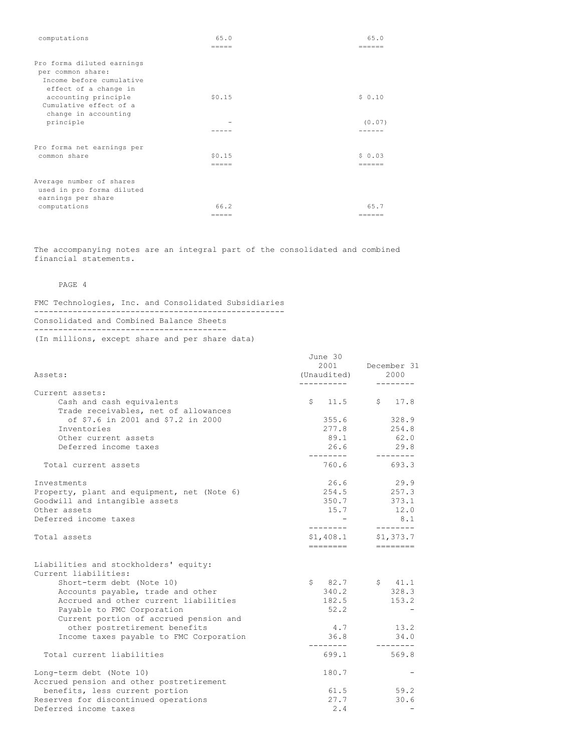| computations                                                                                         | 65.0<br>=====   | 65.0<br>======  |
|------------------------------------------------------------------------------------------------------|-----------------|-----------------|
| Pro forma diluted earnings<br>per common share:<br>Income before cumulative<br>effect of a change in |                 |                 |
| accounting principle<br>Cumulative effect of a<br>change in accounting                               | \$0.15          | \$0.10          |
| principle                                                                                            |                 | (0.07)<br>----- |
| Pro forma net earnings per                                                                           |                 |                 |
| common share                                                                                         | \$0.15<br>===== | $S_0$ 0.03      |
| Average number of shares<br>used in pro forma diluted<br>earnings per share                          |                 |                 |
| computations                                                                                         | 66.2            | 65.7            |
|                                                                                                      | $=$ $=$ $=$ $=$ | ======          |

The accompanying notes are an integral part of the consolidated and combined financial statements.

PAGE 4

FMC Technologies, Inc. and Consolidated Subsidiaries ---------------------------------------------------- Consolidated and Combined Balance Sheets ---------------------------------------- (In millions, except share and per share data)

| Assets:                                                           | June 30<br>2001<br>(Unaudited)<br>---------- | December 31<br>2000                                                                                                                                   |
|-------------------------------------------------------------------|----------------------------------------------|-------------------------------------------------------------------------------------------------------------------------------------------------------|
| Current assets:                                                   |                                              |                                                                                                                                                       |
| Cash and cash equivalents<br>Trade receivables, net of allowances | \$11.5                                       | \$17.8                                                                                                                                                |
| of \$7.6 in 2001 and \$7.2 in 2000                                | 355.6                                        | 328.9                                                                                                                                                 |
| Inventories                                                       | 277.8                                        | 254.8                                                                                                                                                 |
| Other current assets                                              | 89.1                                         | 62.0                                                                                                                                                  |
| Deferred income taxes                                             | 26.6<br>---------                            | 29.8<br>--------                                                                                                                                      |
| Total current assets                                              | 760.6                                        | 693.3                                                                                                                                                 |
| Investments                                                       | 26.6                                         | 29.9                                                                                                                                                  |
| Property, plant and equipment, net (Note 6)                       | 254.5                                        | 257.3                                                                                                                                                 |
| Goodwill and intangible assets                                    | 350.7                                        | 373.1                                                                                                                                                 |
| Other assets                                                      | 15.7                                         | 12.0                                                                                                                                                  |
| Deferred income taxes                                             | ---------                                    | 8.1<br>---------                                                                                                                                      |
| Total assets                                                      | \$1,408.1<br>========                        | \$1,373.7<br>$\qquad \qquad \doteq\qquad \qquad \doteq\qquad \qquad \doteq\qquad \qquad \doteq\qquad \qquad \qquad \doteq\qquad \qquad \qquad \qquad$ |
| Liabilities and stockholders' equity:                             |                                              |                                                                                                                                                       |
| Current liabilities:<br>Short-term debt (Note 10)                 | \$82.7                                       | \$ 41.1                                                                                                                                               |
| Accounts payable, trade and other                                 | 340.2                                        | 328.3                                                                                                                                                 |
| Accrued and other current liabilities                             | 182.5                                        | 153.2                                                                                                                                                 |
| Payable to FMC Corporation                                        | 52.2                                         |                                                                                                                                                       |
| Current portion of accrued pension and                            |                                              |                                                                                                                                                       |
| other postretirement benefits                                     | 4.7                                          | 13.2                                                                                                                                                  |
| Income taxes payable to FMC Corporation                           | 36.8                                         | 34.0                                                                                                                                                  |
| Total current liabilities                                         | 699.1                                        | 569.8                                                                                                                                                 |
| Long-term debt (Note 10)                                          | 180.7                                        |                                                                                                                                                       |
| Accrued pension and other postretirement                          |                                              |                                                                                                                                                       |
| benefits, less current portion                                    | 61.5                                         | 59.2                                                                                                                                                  |
| Reserves for discontinued operations                              | 27.7                                         | 30.6                                                                                                                                                  |
| Deferred income taxes                                             | 2.4                                          |                                                                                                                                                       |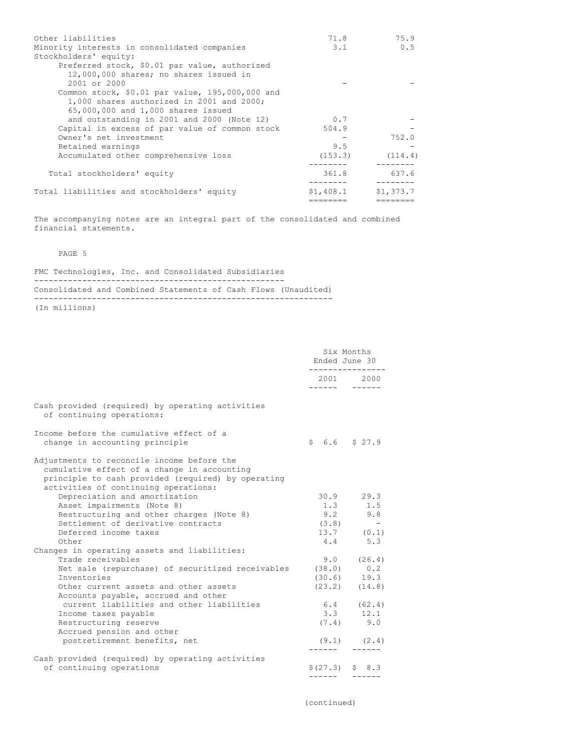| Other liabilities                                                                                                                     | 71.8        | 75.9      |
|---------------------------------------------------------------------------------------------------------------------------------------|-------------|-----------|
| Minority interests in consolidated companies<br>Stockholders' equity:                                                                 | $3 \cdot 1$ | 0.5       |
| Preferred stock, \$0.01 par value, authorized<br>12,000,000 shares; no shares issued in                                               |             |           |
| $2001$ or $2000$                                                                                                                      |             |           |
| Common stock, $$0.01$ par value, $195,000,000$ and<br>1,000 shares authorized in 2001 and 2000;<br>65,000,000 and 1,000 shares issued |             |           |
| and outstanding in 2001 and 2000 (Note 12)                                                                                            | 0.7         |           |
| Capital in excess of par value of common stock                                                                                        | 504.9       |           |
| Owner's net investment                                                                                                                |             | 752.0     |
| Retained earnings                                                                                                                     | 9.5         |           |
| Accumulated other comprehensive loss                                                                                                  | (153.3)     | (114.4)   |
| Total stockholders' equity                                                                                                            | 361.8       | 637.6     |
| Total liabilities and stockholders' equity                                                                                            | \$1,408.1   | \$1,373.7 |
|                                                                                                                                       |             |           |

The accompanying notes are an integral part of the consolidated and combined financial statements.

# PAGE 5

FMC Technologies, Inc. and Consolidated Subsidiaries ---------------------------------------------------- Consolidated and Combined Statements of Cash Flows (Unaudited) --------------------------------------------------------------

(In millions)

|                                                                                                                                                                                         | Six Months<br>Ended June 30<br>------------ |                   |
|-----------------------------------------------------------------------------------------------------------------------------------------------------------------------------------------|---------------------------------------------|-------------------|
|                                                                                                                                                                                         |                                             | 2001 2000         |
| Cash provided (required) by operating activities<br>of continuing operations:                                                                                                           |                                             |                   |
| Income before the cumulative effect of a<br>change in accounting principle                                                                                                              | $$6.6$ $$27.9$                              |                   |
| Adjustments to reconcile income before the<br>cumulative effect of a change in accounting<br>principle to cash provided (required) by operating<br>activities of continuing operations: |                                             |                   |
| Depreciation and amortization                                                                                                                                                           |                                             | $30.9$ 29.3       |
| Asset impairments (Note 8)                                                                                                                                                              | 1.3                                         | 1.5               |
| Restructuring and other charges (Note 8)                                                                                                                                                | 9.2                                         | 9.8               |
| Settlement of derivative contracts                                                                                                                                                      | (3.8)                                       | $\sim$ $-$        |
| Deferred income taxes                                                                                                                                                                   |                                             | $13.7$ (0.1)      |
| Other                                                                                                                                                                                   | 4.4                                         | 5.3               |
| Changes in operating assets and liabilities:                                                                                                                                            |                                             |                   |
| Trade receivables                                                                                                                                                                       |                                             | $9.0$ $(26.4)$    |
| Net sale (repurchase) of securitized receivables                                                                                                                                        | (38.0)                                      | 0.2               |
| Inventories                                                                                                                                                                             |                                             | $(30.6)$ 19.3     |
| Other current assets and other assets<br>Accounts payable, accrued and other                                                                                                            |                                             | $(23.2)$ $(14.8)$ |
| current liabilities and other liabilities                                                                                                                                               |                                             | $6.4$ (62.4)      |
| Income taxes payable                                                                                                                                                                    | 3.3                                         | 12.1              |
| Restructuring reserve                                                                                                                                                                   |                                             | $(7.4)$ 9.0       |
| Accrued pension and other                                                                                                                                                               |                                             |                   |
| postretirement benefits, net                                                                                                                                                            |                                             | $(9.1)$ $(2.4)$   |
| Cash provided (required) by operating activities<br>of continuing operations                                                                                                            |                                             | $$(27.3)$ $$8.3$  |

(continued)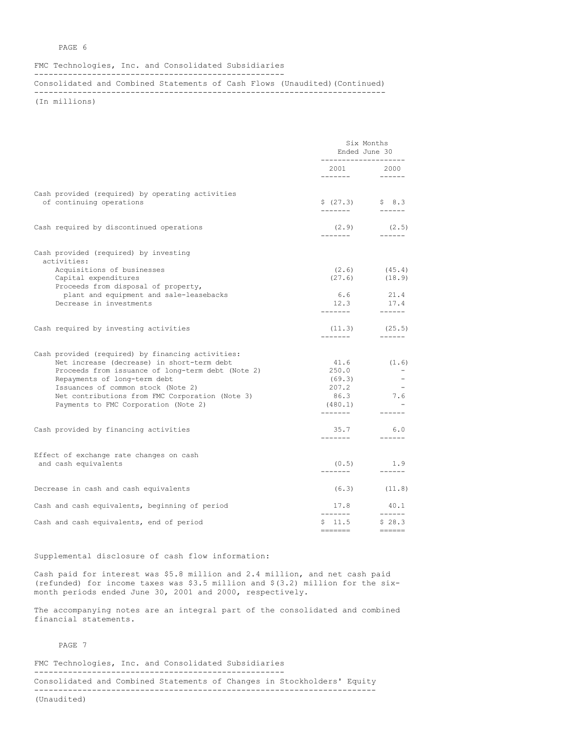## PAGE 6

#### FMC Technologies, Inc. and Consolidated Subsidiaries ----------------------------------------------------

Consolidated and Combined Statements of Cash Flows (Unaudited)(Continued)

-------------------------------------------------------------------------

(In millions)

|                                                                                                                                                                                                                                                                                                                       | Six Months<br>Ended June 30<br>_____________________ |                                                                  |
|-----------------------------------------------------------------------------------------------------------------------------------------------------------------------------------------------------------------------------------------------------------------------------------------------------------------------|------------------------------------------------------|------------------------------------------------------------------|
|                                                                                                                                                                                                                                                                                                                       | 2001 2000                                            |                                                                  |
| Cash provided (required) by operating activities<br>of continuing operations                                                                                                                                                                                                                                          | $$ (27.3)$ $$ 8.3$                                   |                                                                  |
| Cash required by discontinued operations                                                                                                                                                                                                                                                                              | -------                                              | $(2.9)$ $(2.5)$<br>_______                                       |
| Cash provided (required) by investing<br>activities:                                                                                                                                                                                                                                                                  |                                                      |                                                                  |
| Acquisitions of businesses<br>Capital expenditures<br>Proceeds from disposal of property,                                                                                                                                                                                                                             |                                                      | $(2.6)$ $(45.4)$<br>$(27.6)$ $(18.9)$                            |
| plant and equipment and sale-leasebacks<br>Decrease in investments                                                                                                                                                                                                                                                    | 12.3                                                 | 6.6 21.4<br>17.4                                                 |
| Cash required by investing activities                                                                                                                                                                                                                                                                                 | (11.3)                                               | (25.5)                                                           |
| Cash provided (required) by financing activities:<br>Net increase (decrease) in short-term debt<br>Proceeds from issuance of long-term debt (Note 2)<br>Repayments of long-term debt<br>Issuances of common stock (Note 2)<br>Net contributions from FMC Corporation (Note 3)<br>Payments to FMC Corporation (Note 2) | 41.6<br>250.0<br>(69.3)<br>207.2<br>86.3<br>(480.1)  | (1.6)<br>7.6<br>$\frac{1}{2}$                                    |
| Cash provided by financing activities                                                                                                                                                                                                                                                                                 | 35.7<br>--------                                     | 6.0<br>_______                                                   |
| Effect of exchange rate changes on cash<br>and cash equivalents                                                                                                                                                                                                                                                       | --------                                             | $(0.5)$ 1.9<br>_______                                           |
| Decrease in cash and cash equivalents                                                                                                                                                                                                                                                                                 |                                                      | $(6.3)$ $(11.8)$                                                 |
| Cash and cash equivalents, beginning of period                                                                                                                                                                                                                                                                        | 17.8<br>--------                                     | 40.1<br>_______                                                  |
| Cash and cash equivalents, end of period                                                                                                                                                                                                                                                                              | $$11.5$ $$28.3$<br>$=$ $=$ $=$ $=$ $=$ $=$           | $\qquad \qquad \equiv \equiv \equiv \equiv \equiv \equiv \equiv$ |

## Supplemental disclosure of cash flow information:

Cash paid for interest was \$5.8 million and 2.4 million, and net cash paid (refunded) for income taxes was \$3.5 million and \$(3.2) million for the sixmonth periods ended June 30, 2001 and 2000, respectively.

The accompanying notes are an integral part of the consolidated and combined financial statements.

PAGE 7

FMC Technologies, Inc. and Consolidated Subsidiaries ---------------------------------------------------- Consolidated and Combined Statements of Changes in Stockholders' Equity ----------------------------------------------------------------------- (Unaudited)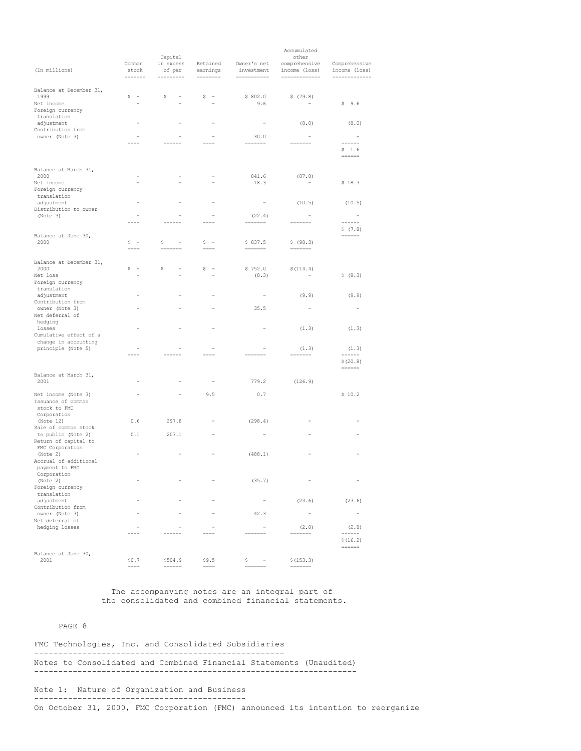|                                            |                  |                                |                          |                            | Accumulated                    |                              |
|--------------------------------------------|------------------|--------------------------------|--------------------------|----------------------------|--------------------------------|------------------------------|
|                                            |                  | Capital                        |                          |                            | other                          |                              |
|                                            | Common           | in excess                      | Retained                 | Owner's net                | comprehensive                  | Comprehensive                |
| (In millions)                              | stock<br>------- | of par<br>---------            | earnings<br>--------     | investment<br>------------ | income (loss)<br>------------- | income (loss)<br>----------- |
|                                            |                  |                                |                          |                            |                                |                              |
| Balance at December 31,                    |                  |                                |                          |                            |                                |                              |
| 1999                                       | $S -$            | \$                             | $S =$                    | \$802.0                    | \$(79.8)                       |                              |
| Net income                                 |                  |                                |                          | 9.6                        |                                | \$9.6                        |
| Foreign currency                           |                  |                                |                          |                            |                                |                              |
| translation<br>adjustment                  |                  |                                |                          |                            | (8.0)                          | (8.0)                        |
| Contribution from                          |                  |                                |                          |                            |                                |                              |
| owner (Note 3)                             |                  |                                |                          | 30.0                       |                                | $\sim$                       |
|                                            |                  |                                |                          | -----                      |                                | ------                       |
|                                            |                  |                                |                          |                            |                                | \$1.6<br>$=$                 |
| Balance at March 31,                       |                  |                                |                          |                            |                                |                              |
| 2000                                       |                  |                                |                          | 841.6                      | (87.8)                         |                              |
| Net income                                 |                  |                                |                          | 18.3                       |                                | \$18.3                       |
| Foreign currency                           |                  |                                |                          |                            |                                |                              |
| translation                                |                  |                                |                          |                            |                                |                              |
| adjustment                                 |                  |                                |                          |                            | (10.5)                         | (10.5)                       |
| Distribution to owner                      |                  |                                |                          |                            |                                |                              |
| (Note 3)                                   |                  |                                |                          | (22.4)                     |                                | $\sim$                       |
|                                            |                  |                                |                          | ------                     |                                | ------                       |
|                                            |                  |                                |                          |                            |                                | \$(7.8)                      |
| Balance at June 30,<br>2000                | $S =$            | \$                             | $S =$                    | \$837.5                    | \$ (98.3)                      | ======                       |
|                                            | $====$           | $=$                            | $=$ $=$ $=$              | $=$                        | =======                        |                              |
|                                            |                  |                                |                          |                            |                                |                              |
| Balance at December 31,                    |                  |                                |                          |                            |                                |                              |
| 2000                                       | $S =$            | \$<br>$\overline{\phantom{a}}$ | $S =$                    | \$752.0                    | \$(114.4)                      |                              |
| Net loss                                   |                  |                                |                          | (8.3)                      |                                | \$ (8.3)                     |
| Foreign currency                           |                  |                                |                          |                            |                                |                              |
| translation                                |                  |                                |                          |                            |                                |                              |
| adjustment<br>Contribution from            |                  |                                |                          | $\overline{\phantom{a}}$   | (9.9)                          | (9.9)                        |
| owner (Note 3)                             |                  |                                |                          | 35.5                       |                                | $\overline{\phantom{m}}$     |
| Net deferral of                            |                  |                                |                          |                            |                                |                              |
| hedging                                    |                  |                                |                          |                            |                                |                              |
| losses                                     |                  |                                |                          |                            | (1.3)                          | (1.3)                        |
| Cumulative effect of a                     |                  |                                |                          |                            |                                |                              |
| change in accounting                       |                  |                                |                          |                            |                                |                              |
| principle (Note 5)                         |                  |                                |                          |                            | (1.3)                          | (1.3)                        |
|                                            |                  |                                |                          |                            | ------                         | ------                       |
|                                            |                  |                                |                          |                            |                                | \$(20.8)                     |
| Balance at March 31,                       |                  |                                |                          |                            |                                |                              |
| 2001                                       |                  |                                |                          | 779.2                      | (126.9)                        |                              |
|                                            |                  |                                |                          |                            |                                |                              |
| Net income (Note 3)                        |                  |                                | 9.5                      | 0.7                        |                                | \$10.2                       |
| Issuance of common                         |                  |                                |                          |                            |                                |                              |
| stock to FMC                               |                  |                                |                          |                            |                                |                              |
| Corporation                                |                  |                                |                          |                            |                                |                              |
| (Note 12)                                  | 0.6              | 297.8                          | $\overline{\phantom{a}}$ | (298.4)                    |                                |                              |
| Sale of common stock<br>to public (Note 2) | 0.1              | 207.1                          |                          |                            |                                |                              |
| Return of capital to                       |                  |                                |                          |                            |                                |                              |
| FMC Corporation                            |                  |                                |                          |                            |                                |                              |
| (Note 2)                                   |                  |                                |                          | (488.1)                    |                                |                              |
| Accrual of additional                      |                  |                                |                          |                            |                                |                              |
| payment to FMC                             |                  |                                |                          |                            |                                |                              |
| Corporation                                |                  |                                |                          |                            |                                |                              |
| (Note 2)                                   |                  |                                |                          | (35.7)                     |                                |                              |
| Foreign currency<br>translation            |                  |                                |                          |                            |                                |                              |
| adjustment                                 |                  |                                |                          | $\overline{\phantom{a}}$   | (23.6)                         | (23.6)                       |
| Contribution from                          |                  |                                |                          |                            |                                |                              |
| owner (Note 3)                             |                  |                                |                          | 42.3                       | $\overline{\phantom{a}}$       | $\overline{\phantom{a}}$     |
| Net deferral of                            |                  |                                |                          |                            |                                |                              |
| hedging losses                             |                  |                                |                          |                            | (2.8)                          | (2.8)                        |
|                                            |                  |                                |                          | $- - - -$                  | $- - - -$                      | ------                       |
|                                            |                  |                                |                          |                            |                                | \$(16.2)                     |
|                                            |                  |                                |                          |                            |                                | ======                       |
| Balance at June 30,<br>2001                | \$0.7            | \$504.9                        | \$9.5                    | \$<br>$\sim$ $-$           | \$(153.3)                      |                              |
|                                            | ====             | ======                         | $= == = =$               |                            | =======                        |                              |

The accompanying notes are an integral part of the consolidated and combined financial statements.

# PAGE 8

FMC Technologies, Inc. and Consolidated Subsidiaries ---------------------------------------------------- Notes to Consolidated and Combined Financial Statements (Unaudited) -------------------------------------------------------------------

# Note 1: Nature of Organization and Business -------------------------------------------- On October 31, 2000, FMC Corporation (FMC) announced its intention to reorganize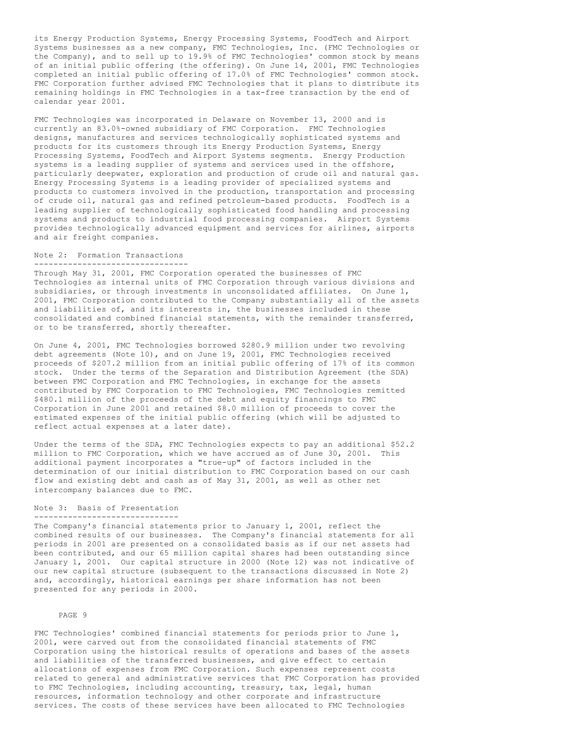its Energy Production Systems, Energy Processing Systems, FoodTech and Airport Systems businesses as a new company, FMC Technologies, Inc. (FMC Technologies or the Company), and to sell up to 19.9% of FMC Technologies' common stock by means of an initial public offering (the offering). On June 14, 2001, FMC Technologies completed an initial public offering of 17.0% of FMC Technologies' common stock. FMC Corporation further advised FMC Technologies that it plans to distribute its remaining holdings in FMC Technologies in a tax-free transaction by the end of calendar year 2001.

FMC Technologies was incorporated in Delaware on November 13, 2000 and is currently an 83.0%-owned subsidiary of FMC Corporation. FMC Technologies designs, manufactures and services technologically sophisticated systems and products for its customers through its Energy Production Systems, Energy Processing Systems, FoodTech and Airport Systems segments. Energy Production systems is a leading supplier of systems and services used in the offshore, particularly deepwater, exploration and production of crude oil and natural gas. Energy Processing Systems is a leading provider of specialized systems and products to customers involved in the production, transportation and processing of crude oil, natural gas and refined petroleum-based products. FoodTech is a leading supplier of technologically sophisticated food handling and processing systems and products to industrial food processing companies. Airport Systems provides technologically advanced equipment and services for airlines, airports and air freight companies.

#### Note 2: Formation Transactions --------------------------------

Through May 31, 2001, FMC Corporation operated the businesses of FMC Technologies as internal units of FMC Corporation through various divisions and subsidiaries, or through investments in unconsolidated affiliates. On June 1, 2001, FMC Corporation contributed to the Company substantially all of the assets and liabilities of, and its interests in, the businesses included in these consolidated and combined financial statements, with the remainder transferred, or to be transferred, shortly thereafter.

On June 4, 2001, FMC Technologies borrowed \$280.9 million under two revolving debt agreements (Note 10), and on June 19, 2001, FMC Technologies received proceeds of \$207.2 million from an initial public offering of 17% of its common stock. Under the terms of the Separation and Distribution Agreement (the SDA) between FMC Corporation and FMC Technologies, in exchange for the assets contributed by FMC Corporation to FMC Technologies, FMC Technologies remitted \$480.1 million of the proceeds of the debt and equity financings to FMC Corporation in June 2001 and retained \$8.0 million of proceeds to cover the estimated expenses of the initial public offering (which will be adjusted to reflect actual expenses at a later date).

Under the terms of the SDA, FMC Technologies expects to pay an additional \$52.2 million to FMC Corporation, which we have accrued as of June 30, 2001. This additional payment incorporates a "true-up" of factors included in the determination of our initial distribution to FMC Corporation based on our cash flow and existing debt and cash as of May 31, 2001, as well as other net intercompany balances due to FMC.

#### Note 3: Basis of Presentation ------------------------------

The Company's financial statements prior to January 1, 2001, reflect the combined results of our businesses. The Company's financial statements for all periods in 2001 are presented on a consolidated basis as if our net assets had been contributed, and our 65 million capital shares had been outstanding since January 1, 2001. Our capital structure in 2000 (Note 12) was not indicative of our new capital structure (subsequent to the transactions discussed in Note 2) and, accordingly, historical earnings per share information has not been presented for any periods in 2000.

## PAGE 9

FMC Technologies' combined financial statements for periods prior to June 1, 2001, were carved out from the consolidated financial statements of FMC Corporation using the historical results of operations and bases of the assets and liabilities of the transferred businesses, and give effect to certain allocations of expenses from FMC Corporation. Such expenses represent costs related to general and administrative services that FMC Corporation has provided to FMC Technologies, including accounting, treasury, tax, legal, human resources, information technology and other corporate and infrastructure services. The costs of these services have been allocated to FMC Technologies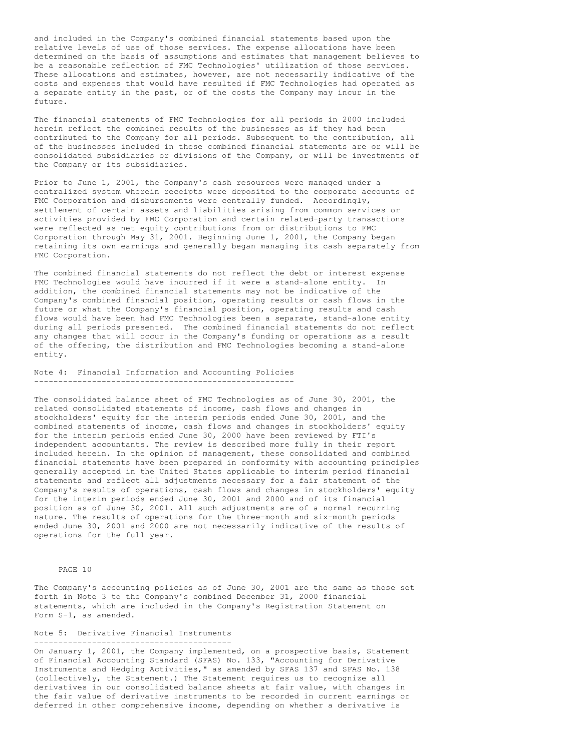and included in the Company's combined financial statements based upon the relative levels of use of those services. The expense allocations have been determined on the basis of assumptions and estimates that management believes to be a reasonable reflection of FMC Technologies' utilization of those services. These allocations and estimates, however, are not necessarily indicative of the costs and expenses that would have resulted if FMC Technologies had operated as a separate entity in the past, or of the costs the Company may incur in the future.

The financial statements of FMC Technologies for all periods in 2000 included herein reflect the combined results of the businesses as if they had been contributed to the Company for all periods. Subsequent to the contribution, all of the businesses included in these combined financial statements are or will be consolidated subsidiaries or divisions of the Company, or will be investments of the Company or its subsidiaries.

Prior to June 1, 2001, the Company's cash resources were managed under a centralized system wherein receipts were deposited to the corporate accounts of FMC Corporation and disbursements were centrally funded. Accordingly, settlement of certain assets and liabilities arising from common services or activities provided by FMC Corporation and certain related-party transactions were reflected as net equity contributions from or distributions to FMC Corporation through May 31, 2001. Beginning June 1, 2001, the Company began retaining its own earnings and generally began managing its cash separately from FMC Corporation.

The combined financial statements do not reflect the debt or interest expense FMC Technologies would have incurred if it were a stand-alone entity. In addition, the combined financial statements may not be indicative of the Company's combined financial position, operating results or cash flows in the future or what the Company's financial position, operating results and cash flows would have been had FMC Technologies been a separate, stand-alone entity during all periods presented. The combined financial statements do not reflect any changes that will occur in the Company's funding or operations as a result of the offering, the distribution and FMC Technologies becoming a stand-alone entity.

Note 4: Financial Information and Accounting Policies ------------------------------------------------------

The consolidated balance sheet of FMC Technologies as of June 30, 2001, the related consolidated statements of income, cash flows and changes in stockholders' equity for the interim periods ended June 30, 2001, and the combined statements of income, cash flows and changes in stockholders' equity for the interim periods ended June 30, 2000 have been reviewed by FTI's independent accountants. The review is described more fully in their report included herein. In the opinion of management, these consolidated and combined financial statements have been prepared in conformity with accounting principles generally accepted in the United States applicable to interim period financial statements and reflect all adjustments necessary for a fair statement of the Company's results of operations, cash flows and changes in stockholders' equity for the interim periods ended June 30, 2001 and 2000 and of its financial position as of June 30, 2001. All such adjustments are of a normal recurring nature. The results of operations for the three-month and six-month periods ended June 30, 2001 and 2000 are not necessarily indicative of the results of operations for the full year.

## PAGE 10

The Company's accounting policies as of June 30, 2001 are the same as those set forth in Note 3 to the Company's combined December 31, 2000 financial statements, which are included in the Company's Registration Statement on Form S-1, as amended.

Note 5: Derivative Financial Instruments -----------------------------------------

On January 1, 2001, the Company implemented, on a prospective basis, Statement of Financial Accounting Standard (SFAS) No. 133, "Accounting for Derivative Instruments and Hedging Activities," as amended by SFAS 137 and SFAS No. 138 (collectively, the Statement.) The Statement requires us to recognize all derivatives in our consolidated balance sheets at fair value, with changes in the fair value of derivative instruments to be recorded in current earnings or deferred in other comprehensive income, depending on whether a derivative is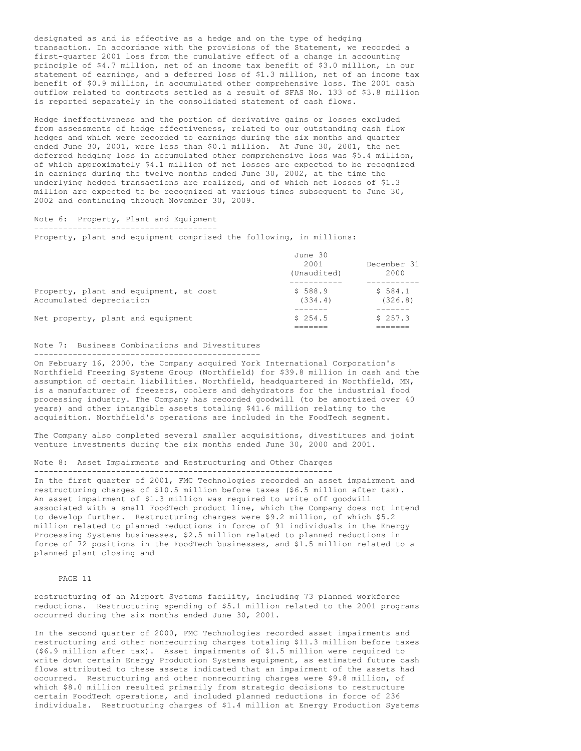designated as and is effective as a hedge and on the type of hedging transaction. In accordance with the provisions of the Statement, we recorded a first-quarter 2001 loss from the cumulative effect of a change in accounting principle of \$4.7 million, net of an income tax benefit of \$3.0 million, in our statement of earnings, and a deferred loss of \$1.3 million, net of an income tax benefit of \$0.9 million, in accumulated other comprehensive loss. The 2001 cash outflow related to contracts settled as a result of SFAS No. 133 of \$3.8 million is reported separately in the consolidated statement of cash flows.

Hedge ineffectiveness and the portion of derivative gains or losses excluded from assessments of hedge effectiveness, related to our outstanding cash flow hedges and which were recorded to earnings during the six months and quarter ended June 30, 2001, were less than \$0.1 million. At June 30, 2001, the net deferred hedging loss in accumulated other comprehensive loss was \$5.4 million, of which approximately \$4.1 million of net losses are expected to be recognized in earnings during the twelve months ended June 30, 2002, at the time the underlying hedged transactions are realized, and of which net losses of \$1.3 million are expected to be recognized at various times subsequent to June 30, 2002 and continuing through November 30, 2009.

#### Note 6: Property, Plant and Equipment --------------------------------------

Property, plant and equipment comprised the following, in millions:

|                                                                    | June 30<br>2001<br>December 31 |                    |  |
|--------------------------------------------------------------------|--------------------------------|--------------------|--|
|                                                                    | (Unaudited)                    | 2000               |  |
|                                                                    |                                |                    |  |
| Property, plant and equipment, at cost<br>Accumulated depreciation | \$588.9<br>(334.4)             | \$584.1<br>(326.8) |  |
|                                                                    |                                |                    |  |
| Net property, plant and equipment                                  | \$254.5                        | \$257.3            |  |

## Note 7: Business Combinations and Divestitures

-----------------------------------------------

On February 16, 2000, the Company acquired York International Corporation's Northfield Freezing Systems Group (Northfield) for \$39.8 million in cash and the assumption of certain liabilities. Northfield, headquartered in Northfield, MN, is a manufacturer of freezers, coolers and dehydrators for the industrial food processing industry. The Company has recorded goodwill (to be amortized over 40 years) and other intangible assets totaling \$41.6 million relating to the acquisition. Northfield's operations are included in the FoodTech segment.

The Company also completed several smaller acquisitions, divestitures and joint venture investments during the six months ended June 30, 2000 and 2001.

#### Note 8: Asset Impairments and Restructuring and Other Charges --------------------------------------------------------------

In the first quarter of 2001, FMC Technologies recorded an asset impairment and restructuring charges of \$10.5 million before taxes (\$6.5 million after tax). An asset impairment of \$1.3 million was required to write off goodwill associated with a small FoodTech product line, which the Company does not intend to develop further. Restructuring charges were \$9.2 million, of which \$5.2 million related to planned reductions in force of 91 individuals in the Energy Processing Systems businesses, \$2.5 million related to planned reductions in force of 72 positions in the FoodTech businesses, and \$1.5 million related to a planned plant closing and

#### PAGE 11

restructuring of an Airport Systems facility, including 73 planned workforce reductions. Restructuring spending of \$5.1 million related to the 2001 programs occurred during the six months ended June 30, 2001.

In the second quarter of 2000, FMC Technologies recorded asset impairments and restructuring and other nonrecurring charges totaling \$11.3 million before taxes (\$6.9 million after tax). Asset impairments of \$1.5 million were required to write down certain Energy Production Systems equipment, as estimated future cash flows attributed to these assets indicated that an impairment of the assets had occurred. Restructuring and other nonrecurring charges were \$9.8 million, of which \$8.0 million resulted primarily from strategic decisions to restructure certain FoodTech operations, and included planned reductions in force of 236 individuals. Restructuring charges of \$1.4 million at Energy Production Systems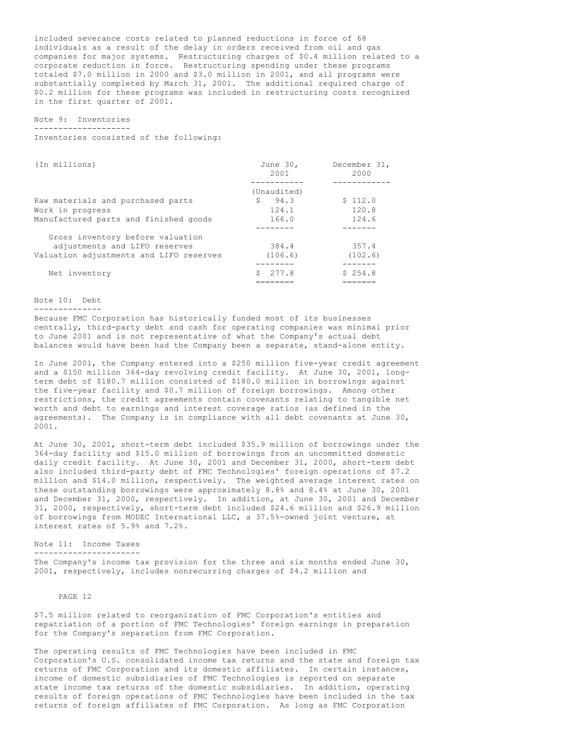included severance costs related to planned reductions in force of 68 individuals as a result of the delay in orders received from oil and gas companies for major systems. Restructuring charges of \$0.4 million related to a corporate reduction in force. Restructuring spending under these programs totaled \$7.0 million in 2000 and \$3.0 million in 2001, and all programs were substantially completed by March 31, 2001. The additional required charge of \$0.2 million for these programs was included in restructuring costs recognized in the first quarter of 2001.

Note 9: Inventories --------------------

Inventories consisted of the following:

| (In millions)                           | June 30,<br>2001 | December 31,<br>2000 |
|-----------------------------------------|------------------|----------------------|
|                                         | (Unaudited)      |                      |
| Raw materials and purchased parts       | 94.3<br>S        | \$112.0              |
| Work in progress                        | 124.1            | 120.8                |
| Manufactured parts and finished goods   | 166.0            | 124.6                |
|                                         |                  |                      |
| Gross inventory before valuation        |                  |                      |
| adjustments and LIFO reserves           | 384.4            | 357.4                |
| Valuation adjustments and LIFO reserves | (106.6)          | (102.6)              |
|                                         |                  |                      |
| Net inventory                           | 277.8            | \$254.8              |
|                                         |                  |                      |

## Note 10: Debt

--------------

Because FMC Corporation has historically funded most of its businesses centrally, third-party debt and cash for operating companies was minimal prior to June 2001 and is not representative of what the Company's actual debt balances would have been had the Company been a separate, stand-alone entity.

In June 2001, the Company entered into a \$250 million five-year credit agreement and a \$150 million 364-day revolving credit facility. At June 30, 2001, longterm debt of \$180.7 million consisted of \$180.0 million in borrowings against the five-year facility and \$0.7 million of foreign borrowings. Among other restrictions, the credit agreements contain covenants relating to tangible net worth and debt to earnings and interest coverage ratios (as defined in the agreements). The Company is in compliance with all debt covenants at June 30, 2001.

At June 30, 2001, short-term debt included \$35.9 million of borrowings under the 364-day facility and \$15.0 million of borrowings from an uncommitted domestic daily credit facility. At June 30, 2001 and December 31, 2000, short-term debt also included third-party debt of FMC Technologies' foreign operations of \$7.2 million and \$14.0 million, respectively. The weighted average interest rates on these outstanding borrowings were approximately 8.8% and 8.4% at June 30, 2001 and December 31, 2000, respectively. In addition, at June 30, 2001 and December 31, 2000, respectively, short-term debt included \$24.6 million and \$26.9 million of borrowings from MODEC International LLC, a 37.5%-owned joint venture, at interest rates of 5.9% and 7.2%.

Note 11: Income Taxes

----------------------

The Company's income tax provision for the three and six months ended June 30, 2001, respectively, includes nonrecurring charges of \$4.2 million and

PAGE 12

\$7.5 million related to reorganization of FMC Corporation's entities and repatriation of a portion of FMC Technologies' foreign earnings in preparation for the Company's separation from FMC Corporation.

The operating results of FMC Technologies have been included in FMC Corporation's U.S. consolidated income tax returns and the state and foreign tax returns of FMC Corporation and its domestic affiliates. In certain instances, income of domestic subsidiaries of FMC Technologies is reported on separate state income tax returns of the domestic subsidiaries. In addition, operating results of foreign operations of FMC Technologies have been included in the tax returns of foreign affiliates of FMC Corporation. As long as FMC Corporation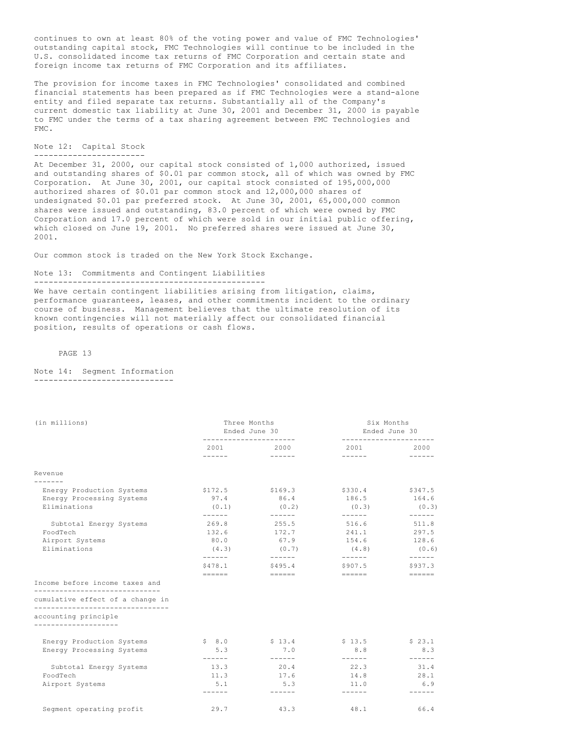continues to own at least 80% of the voting power and value of FMC Technologies' outstanding capital stock, FMC Technologies will continue to be included in the U.S. consolidated income tax returns of FMC Corporation and certain state and foreign income tax returns of FMC Corporation and its affiliates.

The provision for income taxes in FMC Technologies' consolidated and combined financial statements has been prepared as if FMC Technologies were a stand-alone entity and filed separate tax returns. Substantially all of the Company's current domestic tax liability at June 30, 2001 and December 31, 2000 is payable to FMC under the terms of a tax sharing agreement between FMC Technologies and FMC.

## Note 12: Capital Stock -----------------------

At December 31, 2000, our capital stock consisted of 1,000 authorized, issued and outstanding shares of \$0.01 par common stock, all of which was owned by FMC Corporation. At June 30, 2001, our capital stock consisted of 195,000,000 authorized shares of \$0.01 par common stock and 12,000,000 shares of undesignated \$0.01 par preferred stock. At June 30, 2001, 65,000,000 common shares were issued and outstanding, 83.0 percent of which were owned by FMC Corporation and 17.0 percent of which were sold in our initial public offering, which closed on June 19, 2001. No preferred shares were issued at June 30, 2001.

Our common stock is traded on the New York Stock Exchange.

#### Note 13: Commitments and Contingent Liabilities ------------------------------------------------

We have certain contingent liabilities arising from litigation, claims,

performance guarantees, leases, and other commitments incident to the ordinary course of business. Management believes that the ultimate resolution of its known contingencies will not materially affect our consolidated financial position, results of operations or cash flows.

#### PAGE 13

#### Note 14: Segment Information -----------------------------

| (in millions)                                                      | Three Months<br>Ended June 30                                         |                                            | Six Months<br>Ended June 30 |                      |
|--------------------------------------------------------------------|-----------------------------------------------------------------------|--------------------------------------------|-----------------------------|----------------------|
|                                                                    | ----------------------                                                | 2001 2000                                  | ----------------------      | 2000                 |
|                                                                    |                                                                       |                                            |                             |                      |
| Revenue                                                            |                                                                       |                                            |                             |                      |
|                                                                    |                                                                       |                                            |                             |                      |
| Energy Production Systems                                          | \$172.5                                                               | \$169.3                                    | \$330.4                     | \$347.5              |
| Energy Processing Systems                                          | 97.4                                                                  | 86.4                                       | 186.5                       | 164.6                |
| Eliminations                                                       | (0.1)<br>$- - - - - - -$                                              | (0, 2)                                     | (0.3)                       | (0.3)                |
| Subtotal Energy Systems                                            | 269.8                                                                 | 255.5                                      | 516.6                       | 511.8                |
| FoodTech                                                           | 132.6                                                                 | 172.7                                      | 241.1                       | 297.5                |
| Airport Systems                                                    | 80.0                                                                  | 67.9                                       | 154.6                       | 128.6                |
| Eliminations                                                       | (4.3)                                                                 | (0.7)                                      | (4.8)                       | (0.6)                |
|                                                                    | -------                                                               |                                            | -------                     | $- - - - - - -$      |
|                                                                    | \$478.1                                                               | \$495.4                                    | \$907.5                     | \$937.3              |
|                                                                    | $\qquad \qquad \doteq\qquad \qquad \doteq\qquad \qquad \qquad \qquad$ | $\qquad \qquad \doteq\qquad \qquad \qquad$ | $=$ $=$ $=$ $=$ $=$         | $=$                  |
| Income before income taxes and<br>________________________________ |                                                                       |                                            |                             |                      |
| cumulative effect of a change in                                   |                                                                       |                                            |                             |                      |
| ---------------------------------                                  |                                                                       |                                            |                             |                      |
| accounting principle                                               |                                                                       |                                            |                             |                      |
| -------------------                                                |                                                                       |                                            |                             |                      |
| Energy Production Systems                                          | \$8.0                                                                 | \$13.4                                     | \$13.5                      | \$23.1               |
| Energy Processing Systems                                          | 5.3<br>-------                                                        | 7.0<br>$- - - - - -$                       | 8.8                         | 8.3<br>$- - - - - -$ |
| Subtotal Energy Systems                                            | 13.3                                                                  | 20.4                                       | $- - - - - -$<br>22.3       | 31.4                 |
| FoodTech                                                           | 11.3                                                                  | 17.6                                       | 14.8                        | 28.1                 |
| Airport Systems                                                    | 5.1                                                                   | 5.3                                        | 11.0                        | 6.9                  |
|                                                                    | $- - - - - -$                                                         | $- - - - - -$                              | $- - - - - -$               | ------               |
| Seqment operating profit                                           | 29.7                                                                  | 43.3                                       | 48.1                        | 66.4                 |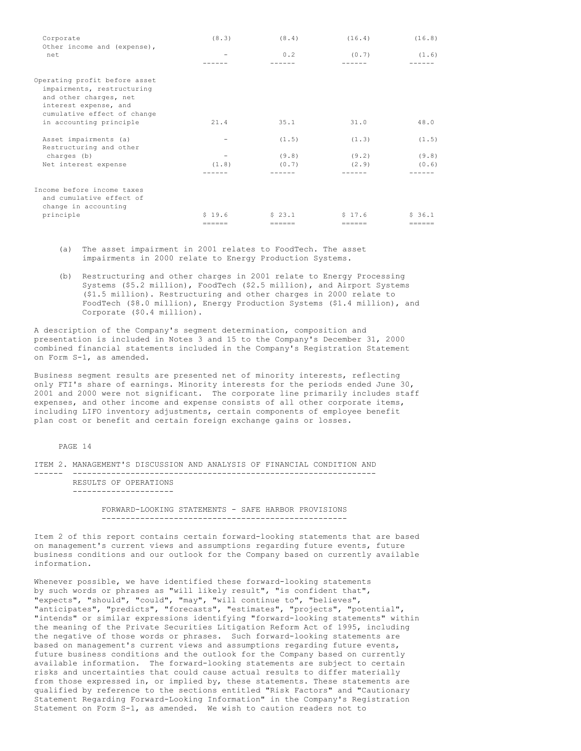| Corporate                                                                                                                                     | (8.3)             | (8.4)  | (16.4) | (16.8) |
|-----------------------------------------------------------------------------------------------------------------------------------------------|-------------------|--------|--------|--------|
| Other income and (expense),<br>net                                                                                                            |                   | 0.2    | (0.7)  | (1.6)  |
| Operating profit before asset<br>impairments, restructuring<br>and other charges, net<br>interest expense, and<br>cumulative effect of change |                   |        |        |        |
| in accounting principle                                                                                                                       | 21.4              | 35.1   | 31.0   | 48.0   |
| Asset impairments (a)<br>Restructuring and other                                                                                              | $\qquad \qquad -$ | (1.5)  | (1.3)  | (1.5)  |
| charges (b)                                                                                                                                   |                   | (9.8)  | (9.2)  | (9.8)  |
| Net interest expense                                                                                                                          | (1.8)             | (0.7)  | (2.9)  | (0.6)  |
|                                                                                                                                               |                   |        |        |        |
| Income before income taxes<br>and cumulative effect of<br>change in accounting                                                                |                   |        |        |        |
| principle                                                                                                                                     | \$19.6            | \$23.1 | \$17.6 | \$36.1 |
|                                                                                                                                               |                   |        |        |        |

- (a) The asset impairment in 2001 relates to FoodTech. The asset impairments in 2000 relate to Energy Production Systems.
- (b) Restructuring and other charges in 2001 relate to Energy Processing Systems (\$5.2 million), FoodTech (\$2.5 million), and Airport Systems (\$1.5 million). Restructuring and other charges in 2000 relate to FoodTech (\$8.0 million), Energy Production Systems (\$1.4 million), and Corporate (\$0.4 million).

A description of the Company's segment determination, composition and presentation is included in Notes 3 and 15 to the Company's December 31, 2000 combined financial statements included in the Company's Registration Statement on Form S-1, as amended.

Business segment results are presented net of minority interests, reflecting only FTI's share of earnings. Minority interests for the periods ended June 30, 2001 and 2000 were not significant. The corporate line primarily includes staff expenses, and other income and expense consists of all other corporate items, including LIFO inventory adjustments, certain components of employee benefit plan cost or benefit and certain foreign exchange gains or losses.

## PAGE 14

ITEM 2. MANAGEMENT'S DISCUSSION AND ANALYSIS OF FINANCIAL CONDITION AND ------ ---------------------------------------------------------------

RESULTS OF OPERATIONS ---------------------

> FORWARD-LOOKING STATEMENTS - SAFE HARBOR PROVISIONS ---------------------------------------------------

Item 2 of this report contains certain forward-looking statements that are based on management's current views and assumptions regarding future events, future business conditions and our outlook for the Company based on currently available information.

Whenever possible, we have identified these forward-looking statements by such words or phrases as "will likely result", "is confident that", "expects", "should", "could", "may", "will continue to", "believes", "anticipates", "predicts", "forecasts", "estimates", "projects", "potential", "intends" or similar expressions identifying "forward-looking statements" within the meaning of the Private Securities Litigation Reform Act of 1995, including the negative of those words or phrases. Such forward-looking statements are based on management's current views and assumptions regarding future events, future business conditions and the outlook for the Company based on currently available information. The forward-looking statements are subject to certain risks and uncertainties that could cause actual results to differ materially from those expressed in, or implied by, these statements. These statements are qualified by reference to the sections entitled "Risk Factors" and "Cautionary Statement Regarding Forward-Looking Information" in the Company's Registration Statement on Form S-1, as amended. We wish to caution readers not to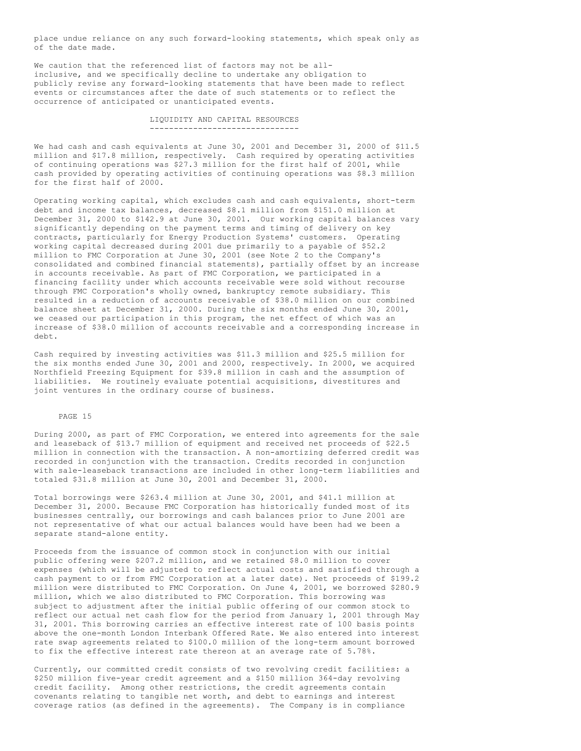place undue reliance on any such forward-looking statements, which speak only as of the date made.

We caution that the referenced list of factors may not be allinclusive, and we specifically decline to undertake any obligation to publicly revise any forward-looking statements that have been made to reflect events or circumstances after the date of such statements or to reflect the occurrence of anticipated or unanticipated events.

> LIQUIDITY AND CAPITAL RESOURCES -------------------------------

We had cash and cash equivalents at June 30, 2001 and December 31, 2000 of \$11.5 million and \$17.8 million, respectively. Cash required by operating activities of continuing operations was \$27.3 million for the first half of 2001, while cash provided by operating activities of continuing operations was \$8.3 million for the first half of 2000.

Operating working capital, which excludes cash and cash equivalents, short-term debt and income tax balances, decreased \$8.1 million from \$151.0 million at December 31, 2000 to \$142.9 at June 30, 2001. Our working capital balances vary significantly depending on the payment terms and timing of delivery on key contracts, particularly for Energy Production Systems' customers. Operating working capital decreased during 2001 due primarily to a payable of \$52.2 million to FMC Corporation at June 30, 2001 (see Note 2 to the Company's consolidated and combined financial statements), partially offset by an increase in accounts receivable. As part of FMC Corporation, we participated in a financing facility under which accounts receivable were sold without recourse through FMC Corporation's wholly owned, bankruptcy remote subsidiary. This resulted in a reduction of accounts receivable of \$38.0 million on our combined balance sheet at December 31, 2000. During the six months ended June 30, 2001, we ceased our participation in this program, the net effect of which was an increase of \$38.0 million of accounts receivable and a corresponding increase in debt.

Cash required by investing activities was \$11.3 million and \$25.5 million for the six months ended June 30, 2001 and 2000, respectively. In 2000, we acquired Northfield Freezing Equipment for \$39.8 million in cash and the assumption of liabilities. We routinely evaluate potential acquisitions, divestitures and joint ventures in the ordinary course of business.

# PAGE 15

During 2000, as part of FMC Corporation, we entered into agreements for the sale and leaseback of \$13.7 million of equipment and received net proceeds of \$22.5 million in connection with the transaction. A non-amortizing deferred credit was recorded in conjunction with the transaction. Credits recorded in conjunction with sale-leaseback transactions are included in other long-term liabilities and totaled \$31.8 million at June 30, 2001 and December 31, 2000.

Total borrowings were \$263.4 million at June 30, 2001, and \$41.1 million at December 31, 2000. Because FMC Corporation has historically funded most of its businesses centrally, our borrowings and cash balances prior to June 2001 are not representative of what our actual balances would have been had we been a separate stand-alone entity.

Proceeds from the issuance of common stock in conjunction with our initial public offering were \$207.2 million, and we retained \$8.0 million to cover expenses (which will be adjusted to reflect actual costs and satisfied through a cash payment to or from FMC Corporation at a later date). Net proceeds of \$199.2 million were distributed to FMC Corporation. On June 4, 2001, we borrowed \$280.9 million, which we also distributed to FMC Corporation. This borrowing was subject to adjustment after the initial public offering of our common stock to reflect our actual net cash flow for the period from January 1, 2001 through May 31, 2001. This borrowing carries an effective interest rate of 100 basis points above the one-month London Interbank Offered Rate. We also entered into interest rate swap agreements related to \$100.0 million of the long-term amount borrowed to fix the effective interest rate thereon at an average rate of 5.78%.

Currently, our committed credit consists of two revolving credit facilities: a \$250 million five-year credit agreement and a \$150 million 364-day revolving credit facility. Among other restrictions, the credit agreements contain covenants relating to tangible net worth, and debt to earnings and interest coverage ratios (as defined in the agreements). The Company is in compliance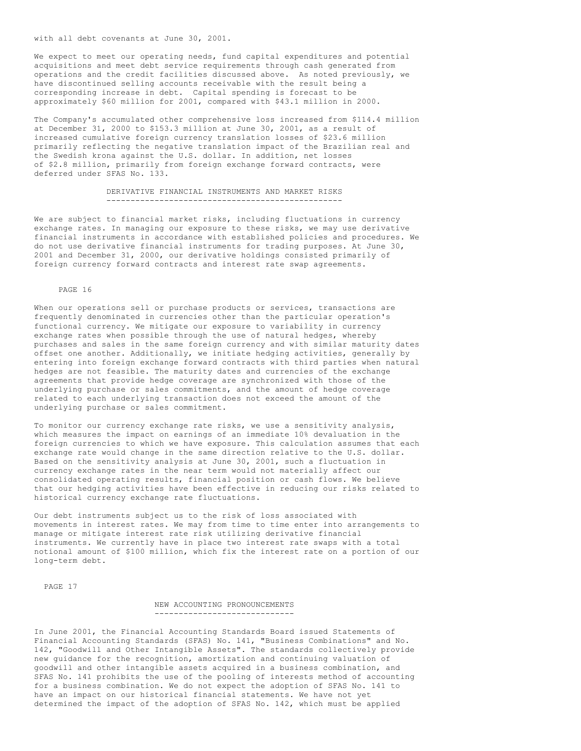We expect to meet our operating needs, fund capital expenditures and potential acquisitions and meet debt service requirements through cash generated from operations and the credit facilities discussed above. As noted previously, we have discontinued selling accounts receivable with the result being a corresponding increase in debt. Capital spending is forecast to be approximately \$60 million for 2001, compared with \$43.1 million in 2000.

The Company's accumulated other comprehensive loss increased from \$114.4 million at December 31, 2000 to \$153.3 million at June 30, 2001, as a result of increased cumulative foreign currency translation losses of \$23.6 million primarily reflecting the negative translation impact of the Brazilian real and the Swedish krona against the U.S. dollar. In addition, net losses of \$2.8 million, primarily from foreign exchange forward contracts, were deferred under SFAS No. 133.

> DERIVATIVE FINANCIAL INSTRUMENTS AND MARKET RISKS -------------------------------------------------

We are subject to financial market risks, including fluctuations in currency exchange rates. In managing our exposure to these risks, we may use derivative financial instruments in accordance with established policies and procedures. We do not use derivative financial instruments for trading purposes. At June 30, 2001 and December 31, 2000, our derivative holdings consisted primarily of foreign currency forward contracts and interest rate swap agreements.

# PAGE 16

When our operations sell or purchase products or services, transactions are frequently denominated in currencies other than the particular operation's functional currency. We mitigate our exposure to variability in currency exchange rates when possible through the use of natural hedges, whereby purchases and sales in the same foreign currency and with similar maturity dates offset one another. Additionally, we initiate hedging activities, generally by entering into foreign exchange forward contracts with third parties when natural hedges are not feasible. The maturity dates and currencies of the exchange agreements that provide hedge coverage are synchronized with those of the underlying purchase or sales commitments, and the amount of hedge coverage related to each underlying transaction does not exceed the amount of the underlying purchase or sales commitment.

To monitor our currency exchange rate risks, we use a sensitivity analysis, which measures the impact on earnings of an immediate 10% devaluation in the foreign currencies to which we have exposure. This calculation assumes that each exchange rate would change in the same direction relative to the U.S. dollar. Based on the sensitivity analysis at June 30, 2001, such a fluctuation in currency exchange rates in the near term would not materially affect our consolidated operating results, financial position or cash flows. We believe that our hedging activities have been effective in reducing our risks related to historical currency exchange rate fluctuations.

Our debt instruments subject us to the risk of loss associated with movements in interest rates. We may from time to time enter into arrangements to manage or mitigate interest rate risk utilizing derivative financial instruments. We currently have in place two interest rate swaps with a total notional amount of \$100 million, which fix the interest rate on a portion of our long-term debt.

PAGE 17

## NEW ACCOUNTING PRONOUNCEMENTS -----------------------------

In June 2001, the Financial Accounting Standards Board issued Statements of Financial Accounting Standards (SFAS) No. 141, "Business Combinations" and No. 142, "Goodwill and Other Intangible Assets". The standards collectively provide new guidance for the recognition, amortization and continuing valuation of goodwill and other intangible assets acquired in a business combination, and SFAS No. 141 prohibits the use of the pooling of interests method of accounting for a business combination. We do not expect the adoption of SFAS No. 141 to have an impact on our historical financial statements. We have not yet determined the impact of the adoption of SFAS No. 142, which must be applied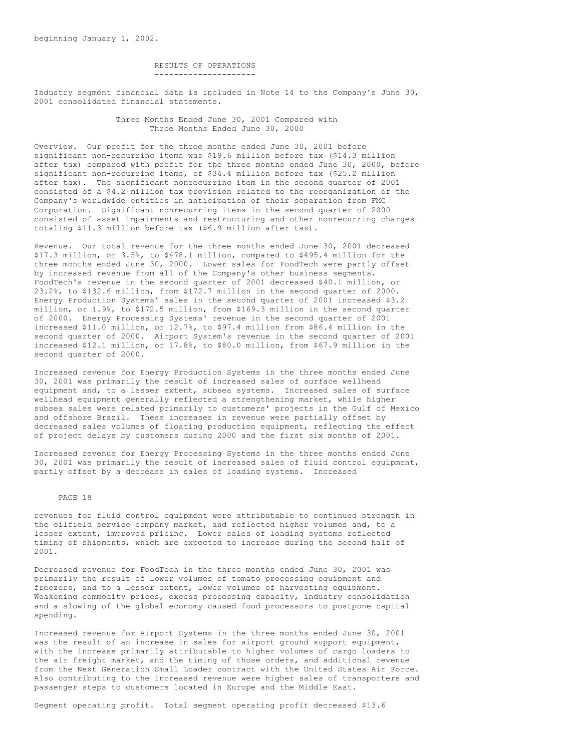RESULTS OF OPERATIONS ---------------------

Industry segment financial data is included in Note 14 to the Company's June 30, 2001 consolidated financial statements.

> Three Months Ended June 30, 2001 Compared with Three Months Ended June 30, 2000

Overview. Our profit for the three months ended June 30, 2001 before significant non-recurring items was \$19.6 million before tax (\$14.3 million after tax) compared with profit for the three months ended June 30, 2000, before significant non-recurring items, of \$34.4 million before tax (\$25.2 million after tax). The significant nonrecurring item in the second quarter of 2001 consisted of a \$4.2 million tax provision related to the reorganization of the Company's worldwide entities in anticipation of their separation from FMC Corporation. Significant nonrecurring items in the second quarter of 2000 consisted of asset impairments and restructuring and other nonrecurring charges totaling \$11.3 million before tax (\$6.9 million after tax).

Revenue. Our total revenue for the three months ended June 30, 2001 decreased \$17.3 million, or 3.5%, to \$478.1 million, compared to \$495.4 million for the three months ended June 30, 2000. Lower sales for FoodTech were partly offset by increased revenue from all of the Company's other business segments. FoodTech's revenue in the second quarter of 2001 decreased \$40.1 million, or 23.2%, to \$132.6 million, from \$172.7 million in the second quarter of 2000. Energy Production Systems' sales in the second quarter of 2001 increased \$3.2 million, or 1.9%, to \$172.5 million, from \$169.3 million in the second quarter of 2000. Energy Processing Systems' revenue in the second quarter of 2001 increased \$11.0 million, or 12.7%, to \$97.4 million from \$86.4 million in the second quarter of 2000. Airport System's revenue in the second quarter of 2001 increased \$12.1 million, or 17.8%, to \$80.0 million, from \$67.9 million in the second quarter of 2000.

Increased revenue for Energy Production Systems in the three months ended June 30, 2001 was primarily the result of increased sales of surface wellhead equipment and, to a lesser extent, subsea systems. Increased sales of surface wellhead equipment generally reflected a strengthening market, while higher subsea sales were related primarily to customers' projects in the Gulf of Mexico and offshore Brazil. These increases in revenue were partially offset by decreased sales volumes of floating production equipment, reflecting the effect of project delays by customers during 2000 and the first six months of 2001.

Increased revenue for Energy Processing Systems in the three months ended June 30, 2001 was primarily the result of increased sales of fluid control equipment, partly offset by a decrease in sales of loading systems. Increased

#### PAGE 18

revenues for fluid control equipment were attributable to continued strength in the oilfield service company market, and reflected higher volumes and, to a lesser extent, improved pricing. Lower sales of loading systems reflected timing of shipments, which are expected to increase during the second half of 2001.

Decreased revenue for FoodTech in the three months ended June 30, 2001 was primarily the result of lower volumes of tomato processing equipment and freezers, and to a lesser extent, lower volumes of harvesting equipment. Weakening commodity prices, excess processing capacity, industry consolidation and a slowing of the global economy caused food processors to postpone capital spending.

Increased revenue for Airport Systems in the three months ended June 30, 2001 was the result of an increase in sales for airport ground support equipment, with the increase primarily attributable to higher volumes of cargo loaders to the air freight market, and the timing of those orders, and additional revenue from the Next Generation Small Loader contract with the United States Air Force. Also contributing to the increased revenue were higher sales of transporters and passenger steps to customers located in Europe and the Middle East.

Segment operating profit. Total segment operating profit decreased \$13.6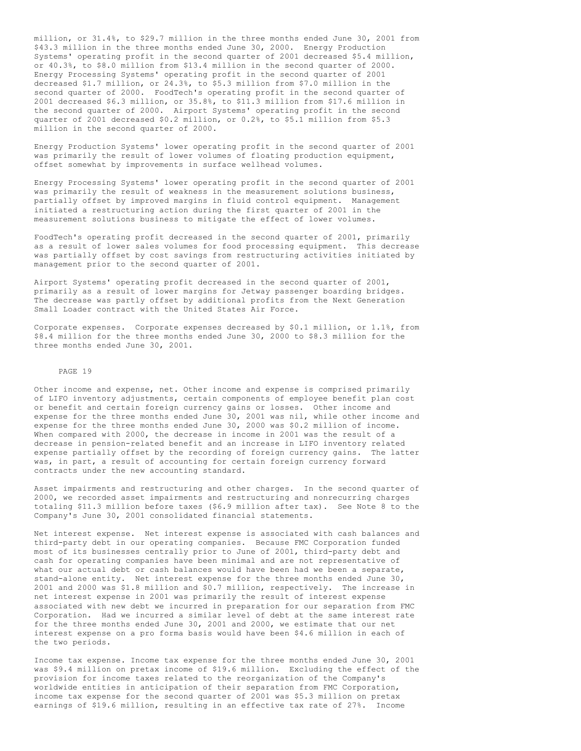million, or 31.4%, to \$29.7 million in the three months ended June 30, 2001 from \$43.3 million in the three months ended June 30, 2000. Energy Production Systems' operating profit in the second quarter of 2001 decreased \$5.4 million, or 40.3%, to \$8.0 million from \$13.4 million in the second quarter of 2000. Energy Processing Systems' operating profit in the second quarter of 2001 decreased \$1.7 million, or 24.3%, to \$5.3 million from \$7.0 million in the second quarter of 2000. FoodTech's operating profit in the second quarter of 2001 decreased \$6.3 million, or 35.8%, to \$11.3 million from \$17.6 million in the second quarter of 2000. Airport Systems' operating profit in the second quarter of 2001 decreased \$0.2 million, or 0.2%, to \$5.1 million from \$5.3 million in the second quarter of 2000.

Energy Production Systems' lower operating profit in the second quarter of 2001 was primarily the result of lower volumes of floating production equipment, offset somewhat by improvements in surface wellhead volumes.

Energy Processing Systems' lower operating profit in the second quarter of 2001 was primarily the result of weakness in the measurement solutions business, partially offset by improved margins in fluid control equipment. Management initiated a restructuring action during the first quarter of 2001 in the measurement solutions business to mitigate the effect of lower volumes.

FoodTech's operating profit decreased in the second quarter of 2001, primarily as a result of lower sales volumes for food processing equipment. This decrease was partially offset by cost savings from restructuring activities initiated by management prior to the second quarter of 2001.

Airport Systems' operating profit decreased in the second quarter of 2001, primarily as a result of lower margins for Jetway passenger boarding bridges. The decrease was partly offset by additional profits from the Next Generation Small Loader contract with the United States Air Force.

Corporate expenses. Corporate expenses decreased by \$0.1 million, or 1.1%, from \$8.4 million for the three months ended June 30, 2000 to \$8.3 million for the three months ended June 30, 2001.

#### PAGE 19

Other income and expense, net. Other income and expense is comprised primarily of LIFO inventory adjustments, certain components of employee benefit plan cost or benefit and certain foreign currency gains or losses. Other income and expense for the three months ended June 30, 2001 was nil, while other income and expense for the three months ended June 30, 2000 was \$0.2 million of income. When compared with 2000, the decrease in income in 2001 was the result of a decrease in pension-related benefit and an increase in LIFO inventory related expense partially offset by the recording of foreign currency gains. The latter was, in part, a result of accounting for certain foreign currency forward contracts under the new accounting standard.

Asset impairments and restructuring and other charges. In the second quarter of 2000, we recorded asset impairments and restructuring and nonrecurring charges totaling \$11.3 million before taxes (\$6.9 million after tax). See Note 8 to the Company's June 30, 2001 consolidated financial statements.

Net interest expense. Net interest expense is associated with cash balances and third-party debt in our operating companies. Because FMC Corporation funded most of its businesses centrally prior to June of 2001, third-party debt and cash for operating companies have been minimal and are not representative of what our actual debt or cash balances would have been had we been a separate, stand-alone entity. Net interest expense for the three months ended June 30, 2001 and 2000 was \$1.8 million and \$0.7 million, respectively. The increase in net interest expense in 2001 was primarily the result of interest expense associated with new debt we incurred in preparation for our separation from FMC Corporation. Had we incurred a similar level of debt at the same interest rate for the three months ended June 30, 2001 and 2000, we estimate that our net interest expense on a pro forma basis would have been \$4.6 million in each of the two periods.

Income tax expense. Income tax expense for the three months ended June 30, 2001 was \$9.4 million on pretax income of \$19.6 million. Excluding the effect of the provision for income taxes related to the reorganization of the Company's worldwide entities in anticipation of their separation from FMC Corporation, income tax expense for the second quarter of 2001 was \$5.3 million on pretax earnings of \$19.6 million, resulting in an effective tax rate of 27%. Income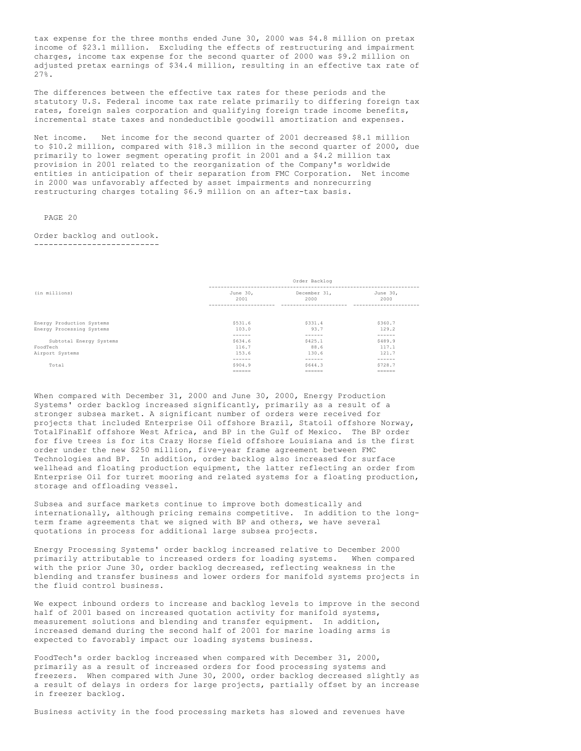tax expense for the three months ended June 30, 2000 was \$4.8 million on pretax income of \$23.1 million. Excluding the effects of restructuring and impairment charges, income tax expense for the second quarter of 2000 was \$9.2 million on adjusted pretax earnings of \$34.4 million, resulting in an effective tax rate of 27%.

The differences between the effective tax rates for these periods and the statutory U.S. Federal income tax rate relate primarily to differing foreign tax rates, foreign sales corporation and qualifying foreign trade income benefits, incremental state taxes and nondeductible goodwill amortization and expenses.

Net income. Net income for the second quarter of 2001 decreased \$8.1 million to \$10.2 million, compared with \$18.3 million in the second quarter of 2000, due primarily to lower segment operating profit in 2001 and a \$4.2 million tax provision in 2001 related to the reorganization of the Company's worldwide entities in anticipation of their separation from FMC Corporation. Net income in 2000 was unfavorably affected by asset impairments and nonrecurring restructuring charges totaling \$6.9 million on an after-tax basis.

## PAGE 20

## Order backlog and outlook. --------------------------

|                           | Order Backlog    |                      |                  |  |
|---------------------------|------------------|----------------------|------------------|--|
| (in millions)             | June 30,<br>2001 | December 31,<br>2000 | June 30,<br>2000 |  |
|                           |                  |                      |                  |  |
| Energy Production Systems | \$531.6          | \$331.4              | \$360.7          |  |
| Energy Processing Systems | 103.0            | 93.7                 | 129.2            |  |
|                           | ------           | ------               | ------           |  |
| Subtotal Energy Systems   | \$634.6          | \$425.1              | \$489.9          |  |
| FoodTech                  | 116.7            | 88.6                 | 117.1            |  |
| Airport Systems           | 153.6            | 130.6                | 121.7            |  |
|                           | ------           | ------               | ------           |  |
| Total                     | \$904.9          | \$644.3              | \$728.7          |  |
|                           | $=$              |                      |                  |  |

When compared with December 31, 2000 and June 30, 2000, Energy Production Systems' order backlog increased significantly, primarily as a result of a stronger subsea market. A significant number of orders were received for projects that included Enterprise Oil offshore Brazil, Statoil offshore Norway, TotalFinaElf offshore West Africa, and BP in the Gulf of Mexico. The BP order for five trees is for its Crazy Horse field offshore Louisiana and is the first order under the new \$250 million, five-year frame agreement between FMC Technologies and BP. In addition, order backlog also increased for surface wellhead and floating production equipment, the latter reflecting an order from Enterprise Oil for turret mooring and related systems for a floating production, storage and offloading vessel.

Subsea and surface markets continue to improve both domestically and internationally, although pricing remains competitive. In addition to the longterm frame agreements that we signed with BP and others, we have several quotations in process for additional large subsea projects.

Energy Processing Systems' order backlog increased relative to December 2000 primarily attributable to increased orders for loading systems. When compared with the prior June 30, order backlog decreased, reflecting weakness in the blending and transfer business and lower orders for manifold systems projects in the fluid control business.

We expect inbound orders to increase and backlog levels to improve in the second half of 2001 based on increased quotation activity for manifold systems, measurement solutions and blending and transfer equipment. In addition, increased demand during the second half of 2001 for marine loading arms is expected to favorably impact our loading systems business.

FoodTech's order backlog increased when compared with December 31, 2000, primarily as a result of increased orders for food processing systems and freezers. When compared with June 30, 2000, order backlog decreased slightly as a result of delays in orders for large projects, partially offset by an increase in freezer backlog.

Business activity in the food processing markets has slowed and revenues have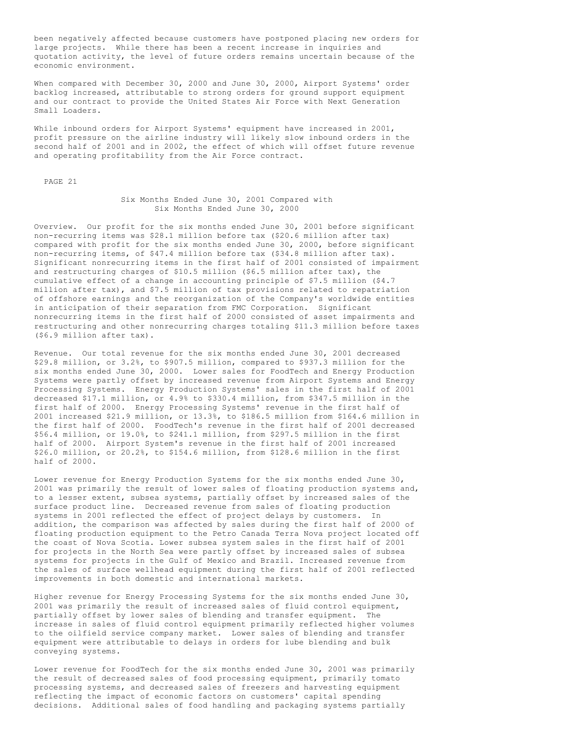been negatively affected because customers have postponed placing new orders for large projects. While there has been a recent increase in inquiries and quotation activity, the level of future orders remains uncertain because of the economic environment.

When compared with December 30, 2000 and June 30, 2000, Airport Systems' order backlog increased, attributable to strong orders for ground support equipment and our contract to provide the United States Air Force with Next Generation Small Loaders.

While inbound orders for Airport Systems' equipment have increased in 2001, profit pressure on the airline industry will likely slow inbound orders in the second half of 2001 and in 2002, the effect of which will offset future revenue and operating profitability from the Air Force contract.

PAGE 21

## Six Months Ended June 30, 2001 Compared with Six Months Ended June 30, 2000

Overview. Our profit for the six months ended June 30, 2001 before significant non-recurring items was \$28.1 million before tax (\$20.6 million after tax) compared with profit for the six months ended June 30, 2000, before significant non-recurring items, of \$47.4 million before tax (\$34.8 million after tax). Significant nonrecurring items in the first half of 2001 consisted of impairment and restructuring charges of \$10.5 million (\$6.5 million after tax), the cumulative effect of a change in accounting principle of \$7.5 million (\$4.7) million after tax), and \$7.5 million of tax provisions related to repatriation of offshore earnings and the reorganization of the Company's worldwide entities in anticipation of their separation from FMC Corporation. Significant nonrecurring items in the first half of 2000 consisted of asset impairments and restructuring and other nonrecurring charges totaling \$11.3 million before taxes (\$6.9 million after tax).

Revenue. Our total revenue for the six months ended June 30, 2001 decreased \$29.8 million, or 3.2%, to \$907.5 million, compared to \$937.3 million for the six months ended June 30, 2000. Lower sales for FoodTech and Energy Production Systems were partly offset by increased revenue from Airport Systems and Energy Processing Systems. Energy Production Systems' sales in the first half of 2001 decreased \$17.1 million, or 4.9% to \$330.4 million, from \$347.5 million in the first half of 2000. Energy Processing Systems' revenue in the first half of 2001 increased \$21.9 million, or 13.3%, to \$186.5 million from \$164.6 million in the first half of 2000. FoodTech's revenue in the first half of 2001 decreased \$56.4 million, or 19.0%, to \$241.1 million, from \$297.5 million in the first half of 2000. Airport System's revenue in the first half of 2001 increased \$26.0 million, or 20.2%, to \$154.6 million, from \$128.6 million in the first half of 2000.

Lower revenue for Energy Production Systems for the six months ended June 30, 2001 was primarily the result of lower sales of floating production systems and, to a lesser extent, subsea systems, partially offset by increased sales of the surface product line. Decreased revenue from sales of floating production systems in 2001 reflected the effect of project delays by customers. In addition, the comparison was affected by sales during the first half of 2000 of floating production equipment to the Petro Canada Terra Nova project located off the coast of Nova Scotia. Lower subsea system sales in the first half of 2001 for projects in the North Sea were partly offset by increased sales of subsea systems for projects in the Gulf of Mexico and Brazil. Increased revenue from the sales of surface wellhead equipment during the first half of 2001 reflected improvements in both domestic and international markets.

Higher revenue for Energy Processing Systems for the six months ended June 30, 2001 was primarily the result of increased sales of fluid control equipment, partially offset by lower sales of blending and transfer equipment. The increase in sales of fluid control equipment primarily reflected higher volumes to the oilfield service company market. Lower sales of blending and transfer equipment were attributable to delays in orders for lube blending and bulk conveying systems.

Lower revenue for FoodTech for the six months ended June 30, 2001 was primarily the result of decreased sales of food processing equipment, primarily tomato processing systems, and decreased sales of freezers and harvesting equipment reflecting the impact of economic factors on customers' capital spending decisions. Additional sales of food handling and packaging systems partially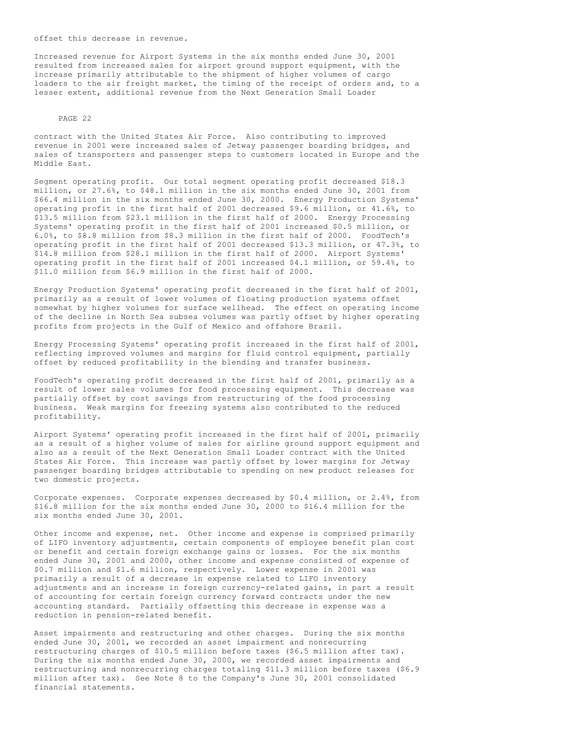offset this decrease in revenue.

Increased revenue for Airport Systems in the six months ended June 30, 2001 resulted from increased sales for airport ground support equipment, with the increase primarily attributable to the shipment of higher volumes of cargo loaders to the air freight market, the timing of the receipt of orders and, to a lesser extent, additional revenue from the Next Generation Small Loader

#### PAGE 22

contract with the United States Air Force. Also contributing to improved revenue in 2001 were increased sales of Jetway passenger boarding bridges, and sales of transporters and passenger steps to customers located in Europe and the Middle East.

Segment operating profit. Our total segment operating profit decreased \$18.3 million, or 27.6%, to \$48.1 million in the six months ended June 30, 2001 from \$66.4 million in the six months ended June 30, 2000. Energy Production Systems' operating profit in the first half of 2001 decreased \$9.6 million, or 41.6%, to \$13.5 million from \$23.1 million in the first half of 2000. Energy Processing Systems' operating profit in the first half of 2001 increased \$0.5 million, or 6.0%, to \$8.8 million from \$8.3 million in the first half of 2000. FoodTech's operating profit in the first half of 2001 decreased \$13.3 million, or 47.3%, to \$14.8 million from \$28.1 million in the first half of 2000. Airport Systems' operating profit in the first half of 2001 increased \$4.1 million, or 59.4%, to \$11.0 million from \$6.9 million in the first half of 2000.

Energy Production Systems' operating profit decreased in the first half of 2001, primarily as a result of lower volumes of floating production systems offset somewhat by higher volumes for surface wellhead. The effect on operating income of the decline in North Sea subsea volumes was partly offset by higher operating profits from projects in the Gulf of Mexico and offshore Brazil.

Energy Processing Systems' operating profit increased in the first half of 2001, reflecting improved volumes and margins for fluid control equipment, partially offset by reduced profitability in the blending and transfer business.

FoodTech's operating profit decreased in the first half of 2001, primarily as a result of lower sales volumes for food processing equipment. This decrease was partially offset by cost savings from restructuring of the food processing business. Weak margins for freezing systems also contributed to the reduced profitability.

Airport Systems' operating profit increased in the first half of 2001, primarily as a result of a higher volume of sales for airline ground support equipment and also as a result of the Next Generation Small Loader contract with the United States Air Force. This increase was partly offset by lower margins for Jetway passenger boarding bridges attributable to spending on new product releases for two domestic projects.

Corporate expenses. Corporate expenses decreased by \$0.4 million, or 2.4%, from \$16.8 million for the six months ended June 30, 2000 to \$16.4 million for the six months ended June 30, 2001.

Other income and expense, net. Other income and expense is comprised primarily of LIFO inventory adjustments, certain components of employee benefit plan cost or benefit and certain foreign exchange gains or losses. For the six months ended June 30, 2001 and 2000, other income and expense consisted of expense of \$0.7 million and \$1.6 million, respectively. Lower expense in 2001 was primarily a result of a decrease in expense related to LIFO inventory adjustments and an increase in foreign currency-related gains, in part a result of accounting for certain foreign currency forward contracts under the new accounting standard. Partially offsetting this decrease in expense was a reduction in pension-related benefit.

Asset impairments and restructuring and other charges. During the six months ended June 30, 2001, we recorded an asset impairment and nonrecurring restructuring charges of \$10.5 million before taxes (\$6.5 million after tax). During the six months ended June 30, 2000, we recorded asset impairments and restructuring and nonrecurring charges totaling \$11.3 million before taxes (\$6.9 million after tax). See Note 8 to the Company's June 30, 2001 consolidated financial statements.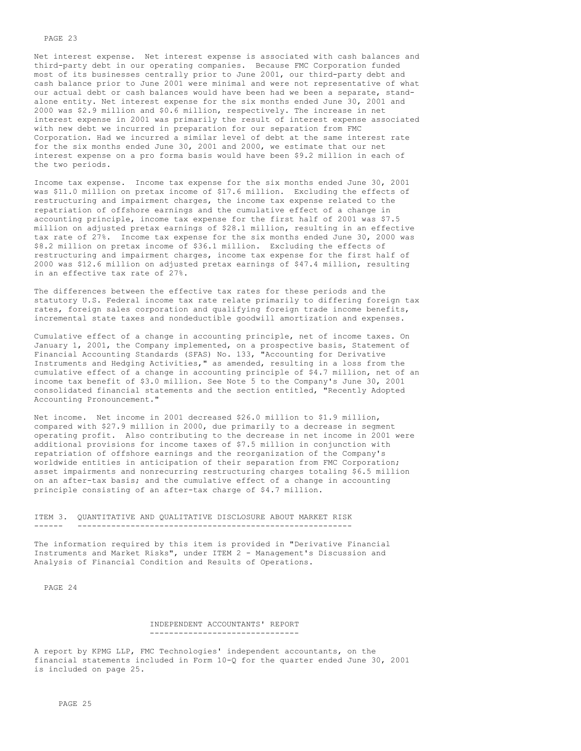Net interest expense. Net interest expense is associated with cash balances and third-party debt in our operating companies. Because FMC Corporation funded most of its businesses centrally prior to June 2001, our third-party debt and cash balance prior to June 2001 were minimal and were not representative of what our actual debt or cash balances would have been had we been a separate, standalone entity. Net interest expense for the six months ended June 30, 2001 and 2000 was \$2.9 million and \$0.6 million, respectively. The increase in net interest expense in 2001 was primarily the result of interest expense associated with new debt we incurred in preparation for our separation from FMC Corporation. Had we incurred a similar level of debt at the same interest rate for the six months ended June 30, 2001 and 2000, we estimate that our net interest expense on a pro forma basis would have been \$9.2 million in each of the two periods.

Income tax expense. Income tax expense for the six months ended June 30, 2001 was \$11.0 million on pretax income of \$17.6 million. Excluding the effects of restructuring and impairment charges, the income tax expense related to the repatriation of offshore earnings and the cumulative effect of a change in accounting principle, income tax expense for the first half of 2001 was \$7.5 million on adjusted pretax earnings of \$28.1 million, resulting in an effective tax rate of 27%. Income tax expense for the six months ended June 30, 2000 was \$8.2 million on pretax income of \$36.1 million. Excluding the effects of restructuring and impairment charges, income tax expense for the first half of 2000 was \$12.6 million on adjusted pretax earnings of \$47.4 million, resulting in an effective tax rate of 27%.

The differences between the effective tax rates for these periods and the statutory U.S. Federal income tax rate relate primarily to differing foreign tax rates, foreign sales corporation and qualifying foreign trade income benefits, incremental state taxes and nondeductible goodwill amortization and expenses.

Cumulative effect of a change in accounting principle, net of income taxes. On January 1, 2001, the Company implemented, on a prospective basis, Statement of Financial Accounting Standards (SFAS) No. 133, "Accounting for Derivative Instruments and Hedging Activities," as amended, resulting in a loss from the cumulative effect of a change in accounting principle of \$4.7 million, net of an income tax benefit of \$3.0 million. See Note 5 to the Company's June 30, 2001 consolidated financial statements and the section entitled, "Recently Adopted Accounting Pronouncement."

Net income. Net income in 2001 decreased \$26.0 million to \$1.9 million, compared with \$27.9 million in 2000, due primarily to a decrease in segment operating profit. Also contributing to the decrease in net income in 2001 were additional provisions for income taxes of \$7.5 million in conjunction with repatriation of offshore earnings and the reorganization of the Company's worldwide entities in anticipation of their separation from FMC Corporation; asset impairments and nonrecurring restructuring charges totaling \$6.5 million on an after-tax basis; and the cumulative effect of a change in accounting principle consisting of an after-tax charge of \$4.7 million.

#### ITEM 3. QUANTITATIVE AND QUALITATIVE DISCLOSURE ABOUT MARKET RISK ------ ---------------------------------------------------------

The information required by this item is provided in "Derivative Financial Instruments and Market Risks", under ITEM 2 - Management's Discussion and Analysis of Financial Condition and Results of Operations.

PAGE 24

#### INDEPENDENT ACCOUNTANTS' REPORT  $-$

A report by KPMG LLP, FMC Technologies' independent accountants, on the financial statements included in Form 10-Q for the quarter ended June 30, 2001 is included on page 25.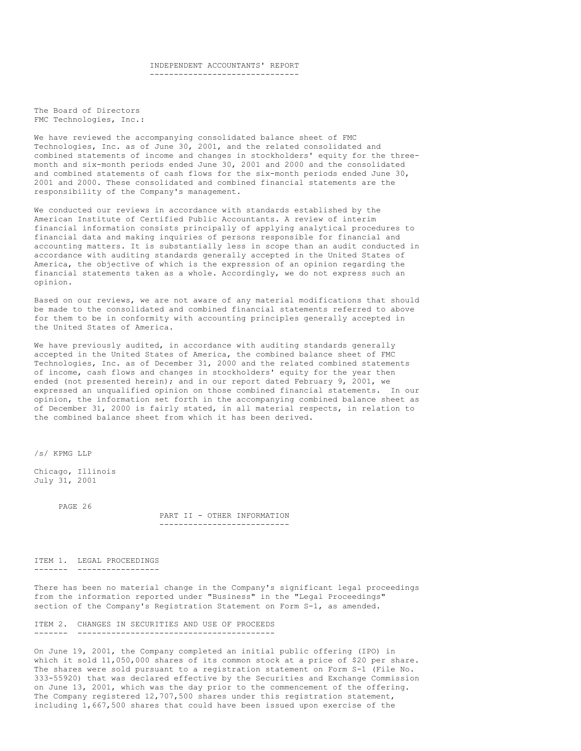# INDEPENDENT ACCOUNTANTS' REPORT

-------------------------------

The Board of Directors FMC Technologies, Inc.:

We have reviewed the accompanying consolidated balance sheet of FMC Technologies, Inc. as of June 30, 2001, and the related consolidated and combined statements of income and changes in stockholders' equity for the threemonth and six-month periods ended June 30, 2001 and 2000 and the consolidated and combined statements of cash flows for the six-month periods ended June 30, 2001 and 2000. These consolidated and combined financial statements are the responsibility of the Company's management.

We conducted our reviews in accordance with standards established by the American Institute of Certified Public Accountants. A review of interim financial information consists principally of applying analytical procedures to financial data and making inquiries of persons responsible for financial and accounting matters. It is substantially less in scope than an audit conducted in accordance with auditing standards generally accepted in the United States of America, the objective of which is the expression of an opinion regarding the financial statements taken as a whole. Accordingly, we do not express such an opinion.

Based on our reviews, we are not aware of any material modifications that should be made to the consolidated and combined financial statements referred to above for them to be in conformity with accounting principles generally accepted in the United States of America.

We have previously audited, in accordance with auditing standards generally accepted in the United States of America, the combined balance sheet of FMC Technologies, Inc. as of December 31, 2000 and the related combined statements of income, cash flows and changes in stockholders' equity for the year then ended (not presented herein); and in our report dated February 9, 2001, we expressed an unqualified opinion on those combined financial statements. In our opinion, the information set forth in the accompanying combined balance sheet as of December 31, 2000 is fairly stated, in all material respects, in relation to the combined balance sheet from which it has been derived.

/s/ KPMG LLP

Chicago, Illinois July 31, 2001

PAGE 26

PART II - OTHER INFORMATION ---------------------------

ITEM 1. LEGAL PROCEEDINGS ------- -----------------

There has been no material change in the Company's significant legal proceedings from the information reported under "Business" in the "Legal Proceedings" section of the Company's Registration Statement on Form S-1, as amended.

ITEM 2. CHANGES IN SECURITIES AND USE OF PROCEEDS  $-$ 

On June 19, 2001, the Company completed an initial public offering (IPO) in which it sold 11,050,000 shares of its common stock at a price of \$20 per share. The shares were sold pursuant to a registration statement on Form S-1 (File No. 333-55920) that was declared effective by the Securities and Exchange Commission on June 13, 2001, which was the day prior to the commencement of the offering. The Company registered 12,707,500 shares under this registration statement, including 1,667,500 shares that could have been issued upon exercise of the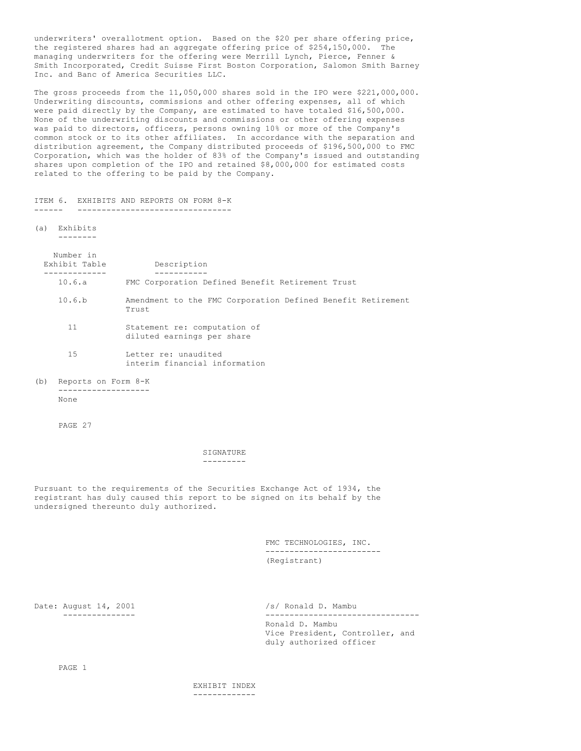underwriters' overallotment option. Based on the \$20 per share offering price, the registered shares had an aggregate offering price of \$254,150,000. The managing underwriters for the offering were Merrill Lynch, Pierce, Fenner & Smith Incorporated, Credit Suisse First Boston Corporation, Salomon Smith Barney Inc. and Banc of America Securities LLC.

The gross proceeds from the 11,050,000 shares sold in the IPO were \$221,000,000. Underwriting discounts, commissions and other offering expenses, all of which were paid directly by the Company, are estimated to have totaled \$16,500,000. None of the underwriting discounts and commissions or other offering expenses was paid to directors, officers, persons owning 10% or more of the Company's common stock or to its other affiliates. In accordance with the separation and distribution agreement, the Company distributed proceeds of \$196,500,000 to FMC Corporation, which was the holder of 83% of the Company's issued and outstanding shares upon completion of the IPO and retained \$8,000,000 for estimated costs related to the offering to be paid by the Company.

ITEM 6. EXHIBITS AND REPORTS ON FORM 8-K ------ --------------------------------

(a) Exhibits

--------

|     | Number in<br>Exhibit Table | Description                                                          |
|-----|----------------------------|----------------------------------------------------------------------|
|     | 10.6.a                     | FMC Corporation Defined Benefit Retirement Trust                     |
|     | 10.6.b                     | Amendment to the FMC Corporation Defined Benefit Retirement<br>Trust |
|     | 11                         | Statement re: computation of<br>diluted earnings per share           |
|     | 15                         | Letter re: unaudited<br>interim financial information                |
| (b) | Reports on Form 8-K        |                                                                      |

None

PAGE 27

SIGNATURE ---------

Pursuant to the requirements of the Securities Exchange Act of 1934, the registrant has duly caused this report to be signed on its behalf by the undersigned thereunto duly authorized.

> FMC TECHNOLOGIES, INC. ------------------------ (Registrant)

Date: August 14, 2001 /s/ Ronald D. Mambu

--------------- -------------------------------- Ronald D. Mambu Vice President, Controller, and duly authorized officer

PAGE 1

EXHIBIT INDEX -------------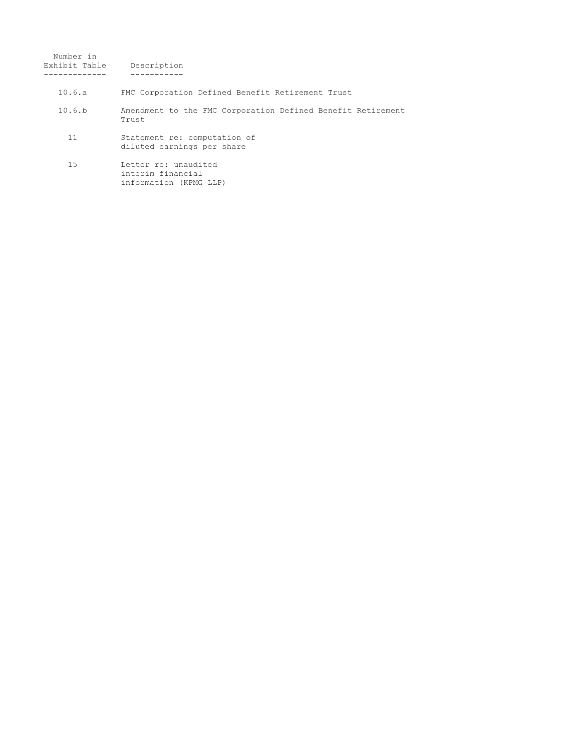| Number in<br>Exhibit Table | Description                                                          |
|----------------------------|----------------------------------------------------------------------|
| 10.6.a                     | FMC Corporation Defined Benefit Retirement Trust                     |
| 10.6.b                     | Amendment to the FMC Corporation Defined Benefit Retirement<br>Trust |
| 11                         | Statement re: computation of<br>diluted earnings per share           |
| 1.5                        | Letter re: unaudited<br>interim financial<br>information (KPMG LLP)  |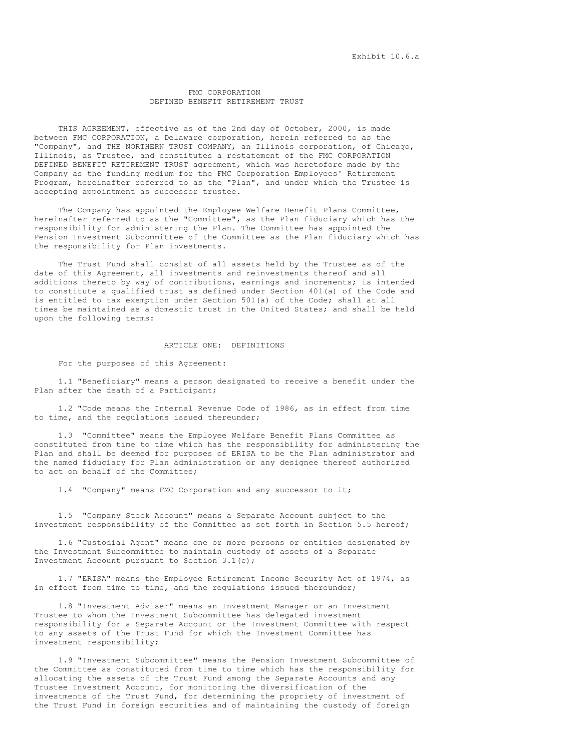## FMC CORPORATION DEFINED BENEFIT RETIREMENT TRUST

THIS AGREEMENT, effective as of the 2nd day of October, 2000, is made between FMC CORPORATION, a Delaware corporation, herein referred to as the "Company", and THE NORTHERN TRUST COMPANY, an Illinois corporation, of Chicago, Illinois, as Trustee, and constitutes a restatement of the FMC CORPORATION DEFINED BENEFIT RETIREMENT TRUST agreement, which was heretofore made by the Company as the funding medium for the FMC Corporation Employees' Retirement Program, hereinafter referred to as the "Plan", and under which the Trustee is accepting appointment as successor trustee.

The Company has appointed the Employee Welfare Benefit Plans Committee, hereinafter referred to as the "Committee", as the Plan fiduciary which has the responsibility for administering the Plan. The Committee has appointed the Pension Investment Subcommittee of the Committee as the Plan fiduciary which has the responsibility for Plan investments.

The Trust Fund shall consist of all assets held by the Trustee as of the date of this Agreement, all investments and reinvestments thereof and all additions thereto by way of contributions, earnings and increments; is intended to constitute a qualified trust as defined under Section 401(a) of the Code and is entitled to tax exemption under Section 501(a) of the Code; shall at all times be maintained as a domestic trust in the United States; and shall be held upon the following terms:

## ARTICLE ONE: DEFINITIONS

For the purposes of this Agreement:

1.1 "Beneficiary" means a person designated to receive a benefit under the Plan after the death of a Participant;

1.2 "Code means the Internal Revenue Code of 1986, as in effect from time to time, and the regulations issued thereunder;

1.3 "Committee" means the Employee Welfare Benefit Plans Committee as constituted from time to time which has the responsibility for administering the Plan and shall be deemed for purposes of ERISA to be the Plan administrator and the named fiduciary for Plan administration or any designee thereof authorized to act on behalf of the Committee;

1.4 "Company" means FMC Corporation and any successor to it;

1.5 "Company Stock Account" means a Separate Account subject to the investment responsibility of the Committee as set forth in Section 5.5 hereof;

1.6 "Custodial Agent" means one or more persons or entities designated by the Investment Subcommittee to maintain custody of assets of a Separate Investment Account pursuant to Section 3.1(c);

1.7 "ERISA" means the Employee Retirement Income Security Act of 1974, as in effect from time to time, and the regulations issued thereunder;

1.8 "Investment Adviser" means an Investment Manager or an Investment Trustee to whom the Investment Subcommittee has delegated investment responsibility for a Separate Account or the Investment Committee with respect to any assets of the Trust Fund for which the Investment Committee has investment responsibility;

1.9 "Investment Subcommittee" means the Pension Investment Subcommittee of the Committee as constituted from time to time which has the responsibility for allocating the assets of the Trust Fund among the Separate Accounts and any Trustee Investment Account, for monitoring the diversification of the investments of the Trust Fund, for determining the propriety of investment of the Trust Fund in foreign securities and of maintaining the custody of foreign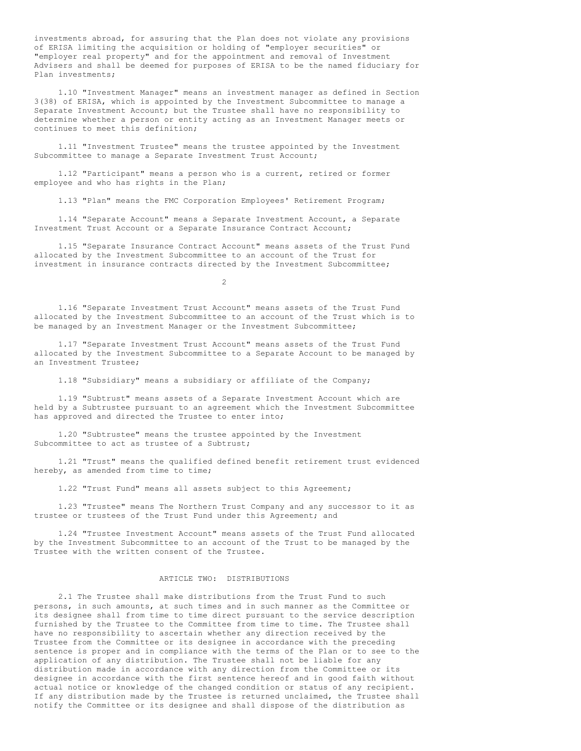investments abroad, for assuring that the Plan does not violate any provisions of ERISA limiting the acquisition or holding of "employer securities" or "employer real property" and for the appointment and removal of Investment Advisers and shall be deemed for purposes of ERISA to be the named fiduciary for Plan investments;

1.10 "Investment Manager" means an investment manager as defined in Section 3(38) of ERISA, which is appointed by the Investment Subcommittee to manage a Separate Investment Account; but the Trustee shall have no responsibility to determine whether a person or entity acting as an Investment Manager meets or continues to meet this definition;

1.11 "Investment Trustee" means the trustee appointed by the Investment Subcommittee to manage a Separate Investment Trust Account;

1.12 "Participant" means a person who is a current, retired or former employee and who has rights in the Plan;

1.13 "Plan" means the FMC Corporation Employees' Retirement Program;

1.14 "Separate Account" means a Separate Investment Account, a Separate Investment Trust Account or a Separate Insurance Contract Account;

1.15 "Separate Insurance Contract Account" means assets of the Trust Fund allocated by the Investment Subcommittee to an account of the Trust for investment in insurance contracts directed by the Investment Subcommittee;

 $\mathcal{L}$ 

1.16 "Separate Investment Trust Account" means assets of the Trust Fund allocated by the Investment Subcommittee to an account of the Trust which is to be managed by an Investment Manager or the Investment Subcommittee;

1.17 "Separate Investment Trust Account" means assets of the Trust Fund allocated by the Investment Subcommittee to a Separate Account to be managed by an Investment Trustee;

1.18 "Subsidiary" means a subsidiary or affiliate of the Company;

1.19 "Subtrust" means assets of a Separate Investment Account which are held by a Subtrustee pursuant to an agreement which the Investment Subcommittee has approved and directed the Trustee to enter into;

1.20 "Subtrustee" means the trustee appointed by the Investment Subcommittee to act as trustee of a Subtrust;

1.21 "Trust" means the qualified defined benefit retirement trust evidenced hereby, as amended from time to time;

1.22 "Trust Fund" means all assets subject to this Agreement;

1.23 "Trustee" means The Northern Trust Company and any successor to it as trustee or trustees of the Trust Fund under this Agreement; and

1.24 "Trustee Investment Account" means assets of the Trust Fund allocated by the Investment Subcommittee to an account of the Trust to be managed by the Trustee with the written consent of the Trustee.

## ARTICLE TWO: DISTRIBUTIONS

2.1 The Trustee shall make distributions from the Trust Fund to such persons, in such amounts, at such times and in such manner as the Committee or its designee shall from time to time direct pursuant to the service description furnished by the Trustee to the Committee from time to time. The Trustee shall have no responsibility to ascertain whether any direction received by the Trustee from the Committee or its designee in accordance with the preceding sentence is proper and in compliance with the terms of the Plan or to see to the application of any distribution. The Trustee shall not be liable for any distribution made in accordance with any direction from the Committee or its designee in accordance with the first sentence hereof and in good faith without actual notice or knowledge of the changed condition or status of any recipient. If any distribution made by the Trustee is returned unclaimed, the Trustee shall notify the Committee or its designee and shall dispose of the distribution as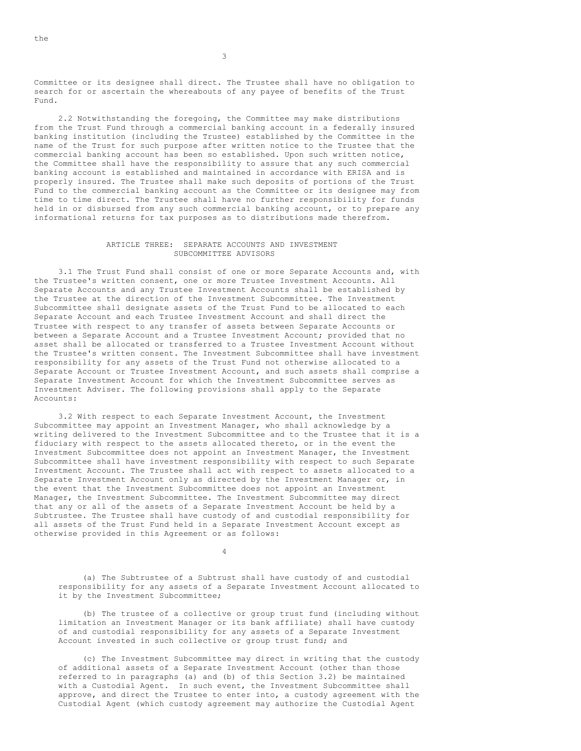Committee or its designee shall direct. The Trustee shall have no obligation to search for or ascertain the whereabouts of any payee of benefits of the Trust Fund.

2.2 Notwithstanding the foregoing, the Committee may make distributions from the Trust Fund through a commercial banking account in a federally insured banking institution (including the Trustee) established by the Committee in the name of the Trust for such purpose after written notice to the Trustee that the commercial banking account has been so established. Upon such written notice, the Committee shall have the responsibility to assure that any such commercial banking account is established and maintained in accordance with ERISA and is properly insured. The Trustee shall make such deposits of portions of the Trust Fund to the commercial banking account as the Committee or its designee may from time to time direct. The Trustee shall have no further responsibility for funds held in or disbursed from any such commercial banking account, or to prepare any informational returns for tax purposes as to distributions made therefrom.

## ARTICLE THREE: SEPARATE ACCOUNTS AND INVESTMENT SUBCOMMITTEE ADVISORS

3.1 The Trust Fund shall consist of one or more Separate Accounts and, with the Trustee's written consent, one or more Trustee Investment Accounts. All Separate Accounts and any Trustee Investment Accounts shall be established by the Trustee at the direction of the Investment Subcommittee. The Investment Subcommittee shall designate assets of the Trust Fund to be allocated to each Separate Account and each Trustee Investment Account and shall direct the Trustee with respect to any transfer of assets between Separate Accounts or between a Separate Account and a Trustee Investment Account; provided that no asset shall be allocated or transferred to a Trustee Investment Account without the Trustee's written consent. The Investment Subcommittee shall have investment responsibility for any assets of the Trust Fund not otherwise allocated to a Separate Account or Trustee Investment Account, and such assets shall comprise a Separate Investment Account for which the Investment Subcommittee serves as Investment Adviser. The following provisions shall apply to the Separate Accounts:

3.2 With respect to each Separate Investment Account, the Investment Subcommittee may appoint an Investment Manager, who shall acknowledge by a writing delivered to the Investment Subcommittee and to the Trustee that it is a fiduciary with respect to the assets allocated thereto, or in the event the Investment Subcommittee does not appoint an Investment Manager, the Investment Subcommittee shall have investment responsibility with respect to such Separate Investment Account. The Trustee shall act with respect to assets allocated to a Separate Investment Account only as directed by the Investment Manager or, in the event that the Investment Subcommittee does not appoint an Investment Manager, the Investment Subcommittee. The Investment Subcommittee may direct that any or all of the assets of a Separate Investment Account be held by a Subtrustee. The Trustee shall have custody of and custodial responsibility for all assets of the Trust Fund held in a Separate Investment Account except as otherwise provided in this Agreement or as follows:

 $\Delta$ 

(a) The Subtrustee of a Subtrust shall have custody of and custodial responsibility for any assets of a Separate Investment Account allocated to it by the Investment Subcommittee;

(b) The trustee of a collective or group trust fund (including without limitation an Investment Manager or its bank affiliate) shall have custody of and custodial responsibility for any assets of a Separate Investment Account invested in such collective or group trust fund; and

(c) The Investment Subcommittee may direct in writing that the custody of additional assets of a Separate Investment Account (other than those referred to in paragraphs (a) and (b) of this Section 3.2) be maintained with a Custodial Agent. In such event, the Investment Subcommittee shall approve, and direct the Trustee to enter into, a custody agreement with the Custodial Agent (which custody agreement may authorize the Custodial Agent

the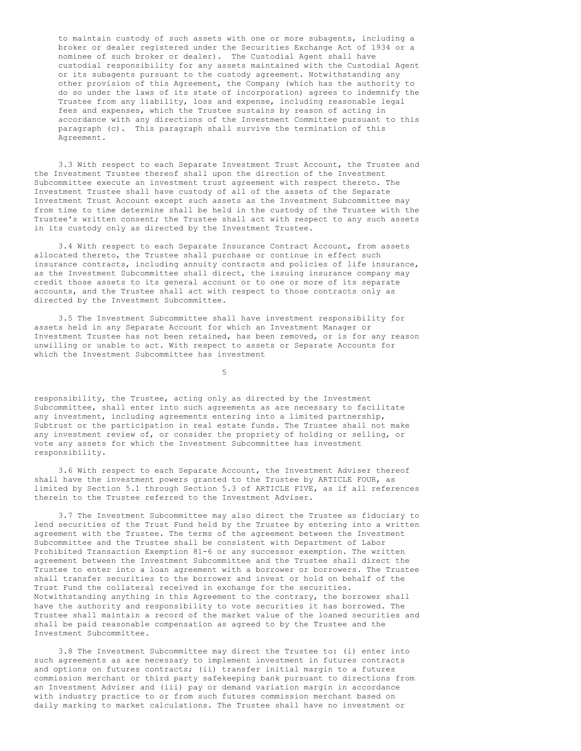to maintain custody of such assets with one or more subagents, including a broker or dealer registered under the Securities Exchange Act of 1934 or a nominee of such broker or dealer). The Custodial Agent shall have custodial responsibility for any assets maintained with the Custodial Agent or its subagents pursuant to the custody agreement. Notwithstanding any other provision of this Agreement, the Company (which has the authority to do so under the laws of its state of incorporation) agrees to indemnify the Trustee from any liability, loss and expense, including reasonable legal fees and expenses, which the Trustee sustains by reason of acting in accordance with any directions of the Investment Committee pursuant to this paragraph (c). This paragraph shall survive the termination of this Agreement.

3.3 With respect to each Separate Investment Trust Account, the Trustee and the Investment Trustee thereof shall upon the direction of the Investment Subcommittee execute an investment trust agreement with respect thereto. The Investment Trustee shall have custody of all of the assets of the Separate Investment Trust Account except such assets as the Investment Subcommittee may from time to time determine shall be held in the custody of the Trustee with the Trustee's written consent; the Trustee shall act with respect to any such assets in its custody only as directed by the Investment Trustee.

3.4 With respect to each Separate Insurance Contract Account, from assets allocated thereto, the Trustee shall purchase or continue in effect such insurance contracts, including annuity contracts and policies of life insurance, as the Investment Subcommittee shall direct, the issuing insurance company may credit those assets to its general account or to one or more of its separate accounts, and the Trustee shall act with respect to those contracts only as directed by the Investment Subcommittee.

3.5 The Investment Subcommittee shall have investment responsibility for assets held in any Separate Account for which an Investment Manager or Investment Trustee has not been retained, has been removed, or is for any reason unwilling or unable to act. With respect to assets or Separate Accounts for which the Investment Subcommittee has investment

5

responsibility, the Trustee, acting only as directed by the Investment Subcommittee, shall enter into such agreements as are necessary to facilitate any investment, including agreements entering into a limited partnership, Subtrust or the participation in real estate funds. The Trustee shall not make any investment review of, or consider the propriety of holding or selling, or vote any assets for which the Investment Subcommittee has investment responsibility.

3.6 With respect to each Separate Account, the Investment Adviser thereof shall have the investment powers granted to the Trustee by ARTICLE FOUR, as limited by Section 5.1 through Section 5.3 of ARTICLE FIVE, as if all references therein to the Trustee referred to the Investment Adviser.

3.7 The Investment Subcommittee may also direct the Trustee as fiduciary to lend securities of the Trust Fund held by the Trustee by entering into a written agreement with the Trustee. The terms of the agreement between the Investment Subcommittee and the Trustee shall be consistent with Department of Labor Prohibited Transaction Exemption 81-6 or any successor exemption. The written agreement between the Investment Subcommittee and the Trustee shall direct the Trustee to enter into a loan agreement with a borrower or borrowers. The Trustee shall transfer securities to the borrower and invest or hold on behalf of the Trust Fund the collateral received in exchange for the securities. Notwithstanding anything in this Agreement to the contrary, the borrower shall have the authority and responsibility to vote securities it has borrowed. The Trustee shall maintain a record of the market value of the loaned securities and shall be paid reasonable compensation as agreed to by the Trustee and the Investment Subcommittee.

3.8 The Investment Subcommittee may direct the Trustee to: (i) enter into such agreements as are necessary to implement investment in futures contracts and options on futures contracts; (ii) transfer initial margin to a futures commission merchant or third party safekeeping bank pursuant to directions from an Investment Adviser and (iii) pay or demand variation margin in accordance with industry practice to or from such futures commission merchant based on daily marking to market calculations. The Trustee shall have no investment or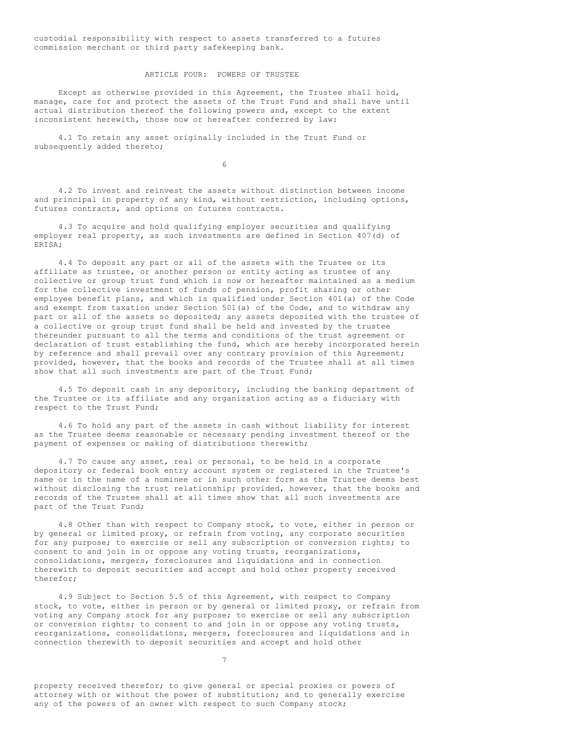custodial responsibility with respect to assets transferred to a futures commission merchant or third party safekeeping bank.

# ARTICLE FOUR: POWERS OF TRUSTEE

Except as otherwise provided in this Agreement, the Trustee shall hold, manage, care for and protect the assets of the Trust Fund and shall have until actual distribution thereof the following powers and, except to the extent inconsistent herewith, those now or hereafter conferred by law:

4.1 To retain any asset originally included in the Trust Fund or subsequently added thereto;

6

4.2 To invest and reinvest the assets without distinction between income and principal in property of any kind, without restriction, including options, futures contracts, and options on futures contracts.

4.3 To acquire and hold qualifying employer securities and qualifying employer real property, as such investments are defined in Section 407(d) of ERISA;

4.4 To deposit any part or all of the assets with the Trustee or its affiliate as trustee, or another person or entity acting as trustee of any collective or group trust fund which is now or hereafter maintained as a medium for the collective investment of funds of pension, profit sharing or other employee benefit plans, and which is qualified under Section 401(a) of the Code and exempt from taxation under Section 501(a) of the Code, and to withdraw any part or all of the assets so deposited; any assets deposited with the trustee of a collective or group trust fund shall be held and invested by the trustee thereunder pursuant to all the terms and conditions of the trust agreement or declaration of trust establishing the fund, which are hereby incorporated herein by reference and shall prevail over any contrary provision of this Agreement; provided, however, that the books and records of the Trustee shall at all times show that all such investments are part of the Trust Fund;

4.5 To deposit cash in any depository, including the banking department of the Trustee or its affiliate and any organization acting as a fiduciary with respect to the Trust Fund;

4.6 To hold any part of the assets in cash without liability for interest as the Trustee deems reasonable or necessary pending investment thereof or the payment of expenses or making of distributions therewith;

4.7 To cause any asset, real or personal, to be held in a corporate depository or federal book entry account system or registered in the Trustee's name or in the name of a nominee or in such other form as the Trustee deems best without disclosing the trust relationship; provided, however, that the books and records of the Trustee shall at all times show that all such investments are part of the Trust Fund;

4.8 Other than with respect to Company stock, to vote, either in person or by general or limited proxy, or refrain from voting, any corporate securities for any purpose; to exercise or sell any subscription or conversion rights; to consent to and join in or oppose any voting trusts, reorganizations, consolidations, mergers, foreclosures and liquidations and in connection therewith to deposit securities and accept and hold other property received therefor;

4.9 Subject to Section 5.5 of this Agreement, with respect to Company stock, to vote, either in person or by general or limited proxy, or refrain from voting any Company stock for any purpose; to exercise or sell any subscription or conversion rights; to consent to and join in or oppose any voting trusts, reorganizations, consolidations, mergers, foreclosures and liquidations and in connection therewith to deposit securities and accept and hold other

7

property received therefor; to give general or special proxies or powers of attorney with or without the power of substitution; and to generally exercise any of the powers of an owner with respect to such Company stock;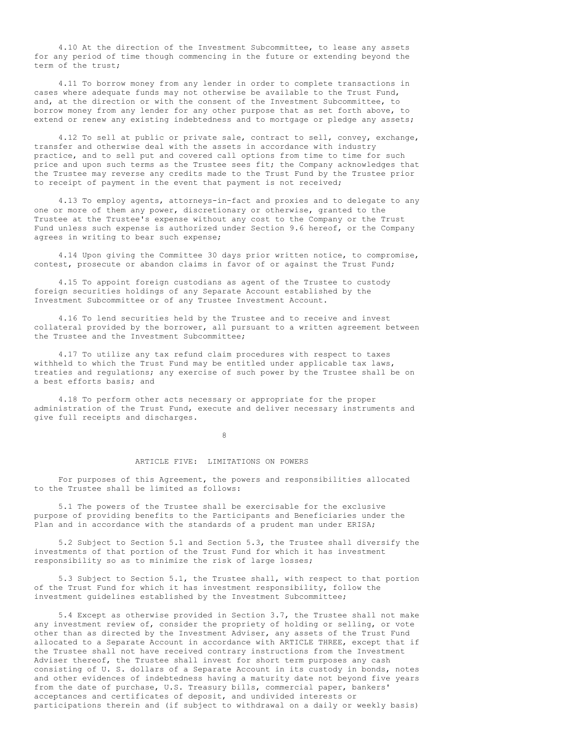4.10 At the direction of the Investment Subcommittee, to lease any assets for any period of time though commencing in the future or extending beyond the term of the trust;

4.11 To borrow money from any lender in order to complete transactions in cases where adequate funds may not otherwise be available to the Trust Fund, and, at the direction or with the consent of the Investment Subcommittee, to borrow money from any lender for any other purpose that as set forth above, to extend or renew any existing indebtedness and to mortgage or pledge any assets;

4.12 To sell at public or private sale, contract to sell, convey, exchange, transfer and otherwise deal with the assets in accordance with industry practice, and to sell put and covered call options from time to time for such price and upon such terms as the Trustee sees fit; the Company acknowledges that the Trustee may reverse any credits made to the Trust Fund by the Trustee prior to receipt of payment in the event that payment is not received;

4.13 To employ agents, attorneys-in-fact and proxies and to delegate to any one or more of them any power, discretionary or otherwise, granted to the Trustee at the Trustee's expense without any cost to the Company or the Trust Fund unless such expense is authorized under Section 9.6 hereof, or the Company agrees in writing to bear such expense;

4.14 Upon giving the Committee 30 days prior written notice, to compromise, contest, prosecute or abandon claims in favor of or against the Trust Fund;

4.15 To appoint foreign custodians as agent of the Trustee to custody foreign securities holdings of any Separate Account established by the Investment Subcommittee or of any Trustee Investment Account.

4.16 To lend securities held by the Trustee and to receive and invest collateral provided by the borrower, all pursuant to a written agreement between the Trustee and the Investment Subcommittee;

4.17 To utilize any tax refund claim procedures with respect to taxes withheld to which the Trust Fund may be entitled under applicable tax laws, treaties and regulations; any exercise of such power by the Trustee shall be on a best efforts basis; and

4.18 To perform other acts necessary or appropriate for the proper administration of the Trust Fund, execute and deliver necessary instruments and give full receipts and discharges.

8

## ARTICLE FIVE: LIMITATIONS ON POWERS

For purposes of this Agreement, the powers and responsibilities allocated to the Trustee shall be limited as follows:

5.1 The powers of the Trustee shall be exercisable for the exclusive purpose of providing benefits to the Participants and Beneficiaries under the Plan and in accordance with the standards of a prudent man under ERISA;

5.2 Subject to Section 5.1 and Section 5.3, the Trustee shall diversify the investments of that portion of the Trust Fund for which it has investment responsibility so as to minimize the risk of large losses;

5.3 Subject to Section 5.1, the Trustee shall, with respect to that portion of the Trust Fund for which it has investment responsibility, follow the investment guidelines established by the Investment Subcommittee;

5.4 Except as otherwise provided in Section 3.7, the Trustee shall not make any investment review of, consider the propriety of holding or selling, or vote other than as directed by the Investment Adviser, any assets of the Trust Fund allocated to a Separate Account in accordance with ARTICLE THREE, except that if the Trustee shall not have received contrary instructions from the Investment Adviser thereof, the Trustee shall invest for short term purposes any cash consisting of U. S. dollars of a Separate Account in its custody in bonds, notes and other evidences of indebtedness having a maturity date not beyond five years from the date of purchase, U.S. Treasury bills, commercial paper, bankers' acceptances and certificates of deposit, and undivided interests or participations therein and (if subject to withdrawal on a daily or weekly basis)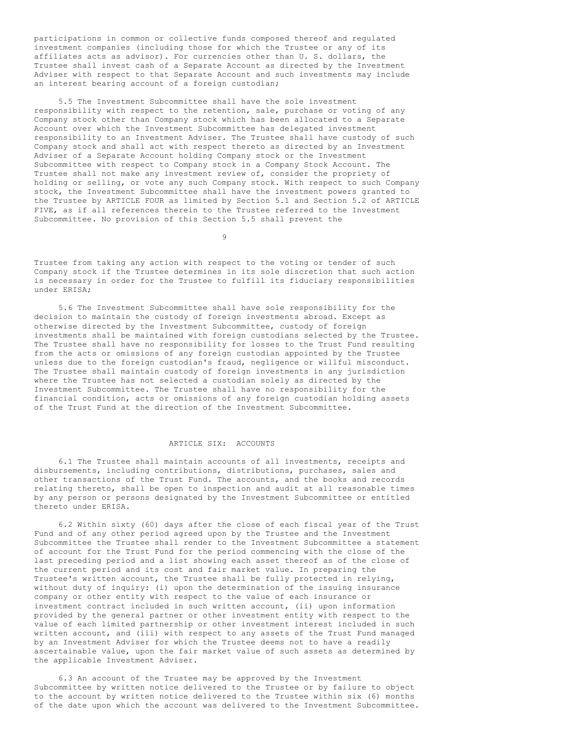participations in common or collective funds composed thereof and regulated investment companies (including those for which the Trustee or any of its affiliates acts as advisor). For currencies other than U. S. dollars, the Trustee shall invest cash of a Separate Account as directed by the Investment Adviser with respect to that Separate Account and such investments may include an interest bearing account of a foreign custodian;

5.5 The Investment Subcommittee shall have the sole investment responsibility with respect to the retention, sale, purchase or voting of any Company stock other than Company stock which has been allocated to a Separate Account over which the Investment Subcommittee has delegated investment responsibility to an Investment Adviser. The Trustee shall have custody of such Company stock and shall act with respect thereto as directed by an Investment Adviser of a Separate Account holding Company stock or the Investment Subcommittee with respect to Company stock in a Company Stock Account. The Trustee shall not make any investment review of, consider the propriety of holding or selling, or vote any such Company stock. With respect to such Company stock, the Investment Subcommittee shall have the investment powers granted to the Trustee by ARTICLE FOUR as limited by Section 5.1 and Section 5.2 of ARTICLE FIVE, as if all references therein to the Trustee referred to the Investment Subcommittee. No provision of this Section 5.5 shall prevent the

9

Trustee from taking any action with respect to the voting or tender of such Company stock if the Trustee determines in its sole discretion that such action is necessary in order for the Trustee to fulfill its fiduciary responsibilities under ERISA;

5.6 The Investment Subcommittee shall have sole responsibility for the decision to maintain the custody of foreign investments abroad. Except as otherwise directed by the Investment Subcommittee, custody of foreign investments shall be maintained with foreign custodians selected by the Trustee. The Trustee shall have no responsibility for losses to the Trust Fund resulting from the acts or omissions of any foreign custodian appointed by the Trustee unless due to the foreign custodian's fraud, negligence or willful misconduct. The Trustee shall maintain custody of foreign investments in any jurisdiction where the Trustee has not selected a custodian solely as directed by the Investment Subcommittee. The Trustee shall have no responsibility for the financial condition, acts or omissions of any foreign custodian holding assets of the Trust Fund at the direction of the Investment Subcommittee.

## ARTICLE SIX: ACCOUNTS

6.1 The Trustee shall maintain accounts of all investments, receipts and disbursements, including contributions, distributions, purchases, sales and other transactions of the Trust Fund. The accounts, and the books and records relating thereto, shall be open to inspection and audit at all reasonable times by any person or persons designated by the Investment Subcommittee or entitled thereto under ERISA.

6.2 Within sixty (60) days after the close of each fiscal year of the Trust Fund and of any other period agreed upon by the Trustee and the Investment Subcommittee the Trustee shall render to the Investment Subcommittee a statement of account for the Trust Fund for the period commencing with the close of the last preceding period and a list showing each asset thereof as of the close of the current period and its cost and fair market value. In preparing the Trustee's written account, the Trustee shall be fully protected in relying, without duty of inquiry: (i) upon the determination of the issuing insurance company or other entity with respect to the value of each insurance or investment contract included in such written account, (ii) upon information provided by the general partner or other investment entity with respect to the value of each limited partnership or other investment interest included in such written account, and (iii) with respect to any assets of the Trust Fund managed by an Investment Adviser for which the Trustee deems not to have a readily ascertainable value, upon the fair market value of such assets as determined by the applicable Investment Adviser.

6.3 An account of the Trustee may be approved by the Investment Subcommittee by written notice delivered to the Trustee or by failure to object to the account by written notice delivered to the Trustee within six (6) months of the date upon which the account was delivered to the Investment Subcommittee.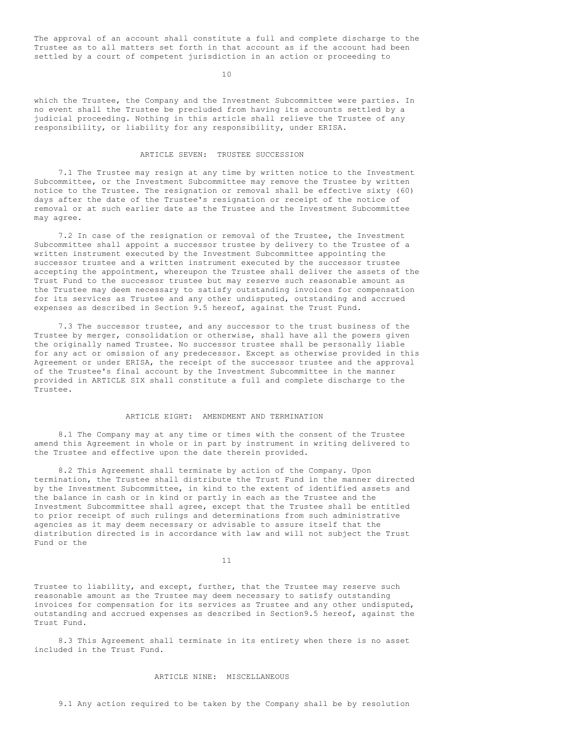The approval of an account shall constitute a full and complete discharge to the Trustee as to all matters set forth in that account as if the account had been settled by a court of competent jurisdiction in an action or proceeding to

10

which the Trustee, the Company and the Investment Subcommittee were parties. In no event shall the Trustee be precluded from having its accounts settled by a judicial proceeding. Nothing in this article shall relieve the Trustee of any responsibility, or liability for any responsibility, under ERISA.

# ARTICLE SEVEN: TRUSTEE SUCCESSION

7.1 The Trustee may resign at any time by written notice to the Investment Subcommittee, or the Investment Subcommittee may remove the Trustee by written notice to the Trustee. The resignation or removal shall be effective sixty (60) days after the date of the Trustee's resignation or receipt of the notice of removal or at such earlier date as the Trustee and the Investment Subcommittee may agree.

7.2 In case of the resignation or removal of the Trustee, the Investment Subcommittee shall appoint a successor trustee by delivery to the Trustee of a written instrument executed by the Investment Subcommittee appointing the successor trustee and a written instrument executed by the successor trustee accepting the appointment, whereupon the Trustee shall deliver the assets of the Trust Fund to the successor trustee but may reserve such reasonable amount as the Trustee may deem necessary to satisfy outstanding invoices for compensation for its services as Trustee and any other undisputed, outstanding and accrued expenses as described in Section 9.5 hereof, against the Trust Fund.

7.3 The successor trustee, and any successor to the trust business of the Trustee by merger, consolidation or otherwise, shall have all the powers given the originally named Trustee. No successor trustee shall be personally liable for any act or omission of any predecessor. Except as otherwise provided in this Agreement or under ERISA, the receipt of the successor trustee and the approval of the Trustee's final account by the Investment Subcommittee in the manner provided in ARTICLE SIX shall constitute a full and complete discharge to the Trustee.

## ARTICLE EIGHT: AMENDMENT AND TERMINATION

8.1 The Company may at any time or times with the consent of the Trustee amend this Agreement in whole or in part by instrument in writing delivered to the Trustee and effective upon the date therein provided.

8.2 This Agreement shall terminate by action of the Company. Upon termination, the Trustee shall distribute the Trust Fund in the manner directed by the Investment Subcommittee, in kind to the extent of identified assets and the balance in cash or in kind or partly in each as the Trustee and the Investment Subcommittee shall agree, except that the Trustee shall be entitled to prior receipt of such rulings and determinations from such administrative agencies as it may deem necessary or advisable to assure itself that the distribution directed is in accordance with law and will not subject the Trust Fund or the

11

Trustee to liability, and except, further, that the Trustee may reserve such reasonable amount as the Trustee may deem necessary to satisfy outstanding invoices for compensation for its services as Trustee and any other undisputed, outstanding and accrued expenses as described in Section9.5 hereof, against the Trust Fund.

8.3 This Agreement shall terminate in its entirety when there is no asset included in the Trust Fund.

# ARTICLE NINE: MISCELLANEOUS

9.1 Any action required to be taken by the Company shall be by resolution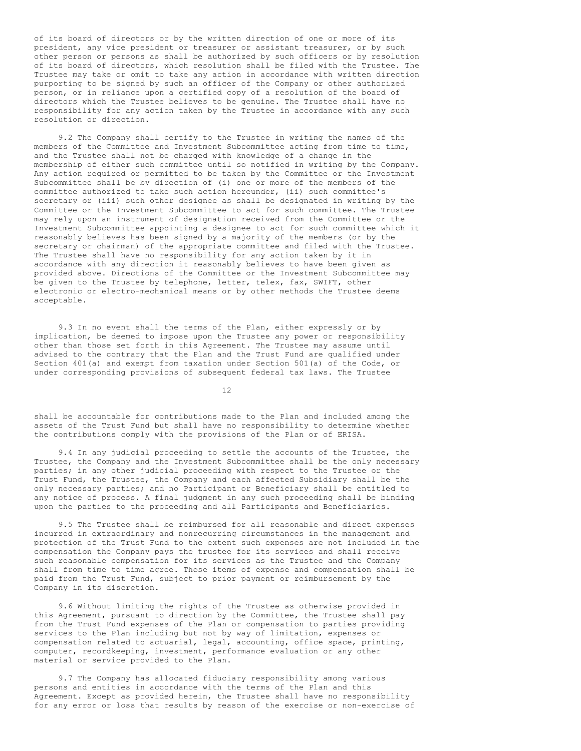of its board of directors or by the written direction of one or more of its president, any vice president or treasurer or assistant treasurer, or by such other person or persons as shall be authorized by such officers or by resolution of its board of directors, which resolution shall be filed with the Trustee. The Trustee may take or omit to take any action in accordance with written direction purporting to be signed by such an officer of the Company or other authorized person, or in reliance upon a certified copy of a resolution of the board of directors which the Trustee believes to be genuine. The Trustee shall have no responsibility for any action taken by the Trustee in accordance with any such resolution or direction.

9.2 The Company shall certify to the Trustee in writing the names of the members of the Committee and Investment Subcommittee acting from time to time, and the Trustee shall not be charged with knowledge of a change in the membership of either such committee until so notified in writing by the Company. Any action required or permitted to be taken by the Committee or the Investment Subcommittee shall be by direction of (i) one or more of the members of the committee authorized to take such action hereunder, (ii) such committee's secretary or (iii) such other designee as shall be designated in writing by the Committee or the Investment Subcommittee to act for such committee. The Trustee may rely upon an instrument of designation received from the Committee or the Investment Subcommittee appointing a designee to act for such committee which it reasonably believes has been signed by a majority of the members (or by the secretary or chairman) of the appropriate committee and filed with the Trustee. The Trustee shall have no responsibility for any action taken by it in accordance with any direction it reasonably believes to have been given as provided above. Directions of the Committee or the Investment Subcommittee may be given to the Trustee by telephone, letter, telex, fax, SWIFT, other electronic or electro-mechanical means or by other methods the Trustee deems acceptable.

9.3 In no event shall the terms of the Plan, either expressly or by implication, be deemed to impose upon the Trustee any power or responsibility other than those set forth in this Agreement. The Trustee may assume until advised to the contrary that the Plan and the Trust Fund are qualified under Section 401(a) and exempt from taxation under Section 501(a) of the Code, or under corresponding provisions of subsequent federal tax laws. The Trustee

12

shall be accountable for contributions made to the Plan and included among the assets of the Trust Fund but shall have no responsibility to determine whether the contributions comply with the provisions of the Plan or of ERISA.

9.4 In any judicial proceeding to settle the accounts of the Trustee, the Trustee, the Company and the Investment Subcommittee shall be the only necessary parties; in any other judicial proceeding with respect to the Trustee or the Trust Fund, the Trustee, the Company and each affected Subsidiary shall be the only necessary parties; and no Participant or Beneficiary shall be entitled to any notice of process. A final judgment in any such proceeding shall be binding upon the parties to the proceeding and all Participants and Beneficiaries.

9.5 The Trustee shall be reimbursed for all reasonable and direct expenses incurred in extraordinary and nonrecurring circumstances in the management and protection of the Trust Fund to the extent such expenses are not included in the compensation the Company pays the trustee for its services and shall receive such reasonable compensation for its services as the Trustee and the Company shall from time to time agree. Those items of expense and compensation shall be paid from the Trust Fund, subject to prior payment or reimbursement by the Company in its discretion.

9.6 Without limiting the rights of the Trustee as otherwise provided in this Agreement, pursuant to direction by the Committee, the Trustee shall pay from the Trust Fund expenses of the Plan or compensation to parties providing services to the Plan including but not by way of limitation, expenses or compensation related to actuarial, legal, accounting, office space, printing, computer, recordkeeping, investment, performance evaluation or any other material or service provided to the Plan.

9.7 The Company has allocated fiduciary responsibility among various persons and entities in accordance with the terms of the Plan and this Agreement. Except as provided herein, the Trustee shall have no responsibility for any error or loss that results by reason of the exercise or non-exercise of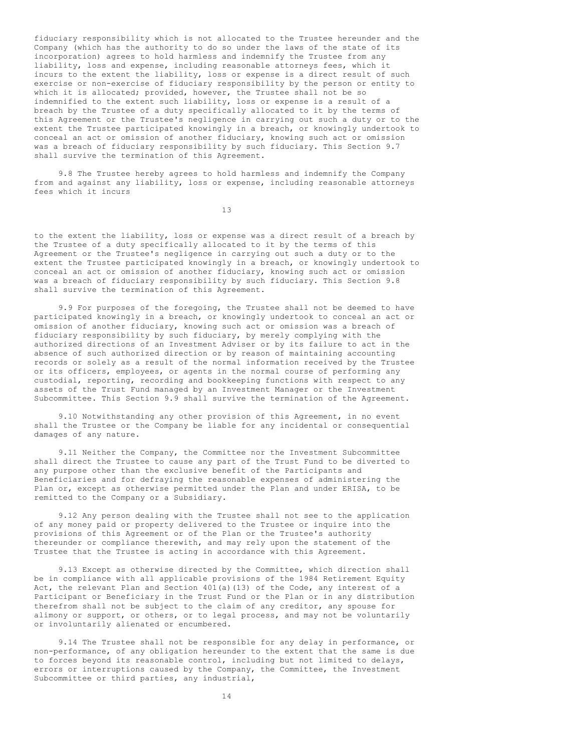fiduciary responsibility which is not allocated to the Trustee hereunder and the Company (which has the authority to do so under the laws of the state of its incorporation) agrees to hold harmless and indemnify the Trustee from any liability, loss and expense, including reasonable attorneys fees, which it incurs to the extent the liability, loss or expense is a direct result of such exercise or non-exercise of fiduciary responsibility by the person or entity to which it is allocated; provided, however, the Trustee shall not be so indemnified to the extent such liability, loss or expense is a result of a breach by the Trustee of a duty specifically allocated to it by the terms of this Agreement or the Trustee's negligence in carrying out such a duty or to the extent the Trustee participated knowingly in a breach, or knowingly undertook to conceal an act or omission of another fiduciary, knowing such act or omission was a breach of fiduciary responsibility by such fiduciary. This Section 9.7 shall survive the termination of this Agreement.

9.8 The Trustee hereby agrees to hold harmless and indemnify the Company from and against any liability, loss or expense, including reasonable attorneys fees which it incurs

13

to the extent the liability, loss or expense was a direct result of a breach by the Trustee of a duty specifically allocated to it by the terms of this Agreement or the Trustee's negligence in carrying out such a duty or to the extent the Trustee participated knowingly in a breach, or knowingly undertook to conceal an act or omission of another fiduciary, knowing such act or omission was a breach of fiduciary responsibility by such fiduciary. This Section 9.8 shall survive the termination of this Agreement.

9.9 For purposes of the foregoing, the Trustee shall not be deemed to have participated knowingly in a breach, or knowingly undertook to conceal an act or omission of another fiduciary, knowing such act or omission was a breach of fiduciary responsibility by such fiduciary, by merely complying with the authorized directions of an Investment Adviser or by its failure to act in the absence of such authorized direction or by reason of maintaining accounting records or solely as a result of the normal information received by the Trustee or its officers, employees, or agents in the normal course of performing any custodial, reporting, recording and bookkeeping functions with respect to any assets of the Trust Fund managed by an Investment Manager or the Investment Subcommittee. This Section 9.9 shall survive the termination of the Agreement.

9.10 Notwithstanding any other provision of this Agreement, in no event shall the Trustee or the Company be liable for any incidental or consequential damages of any nature.

9.11 Neither the Company, the Committee nor the Investment Subcommittee shall direct the Trustee to cause any part of the Trust Fund to be diverted to any purpose other than the exclusive benefit of the Participants and Beneficiaries and for defraying the reasonable expenses of administering the Plan or, except as otherwise permitted under the Plan and under ERISA, to be remitted to the Company or a Subsidiary.

9.12 Any person dealing with the Trustee shall not see to the application of any money paid or property delivered to the Trustee or inquire into the provisions of this Agreement or of the Plan or the Trustee's authority thereunder or compliance therewith, and may rely upon the statement of the Trustee that the Trustee is acting in accordance with this Agreement.

9.13 Except as otherwise directed by the Committee, which direction shall be in compliance with all applicable provisions of the 1984 Retirement Equity Act, the relevant Plan and Section 401(a)(13) of the Code, any interest of a Participant or Beneficiary in the Trust Fund or the Plan or in any distribution therefrom shall not be subject to the claim of any creditor, any spouse for alimony or support, or others, or to legal process, and may not be voluntarily or involuntarily alienated or encumbered.

9.14 The Trustee shall not be responsible for any delay in performance, or non-performance, of any obligation hereunder to the extent that the same is due to forces beyond its reasonable control, including but not limited to delays, errors or interruptions caused by the Company, the Committee, the Investment Subcommittee or third parties, any industrial,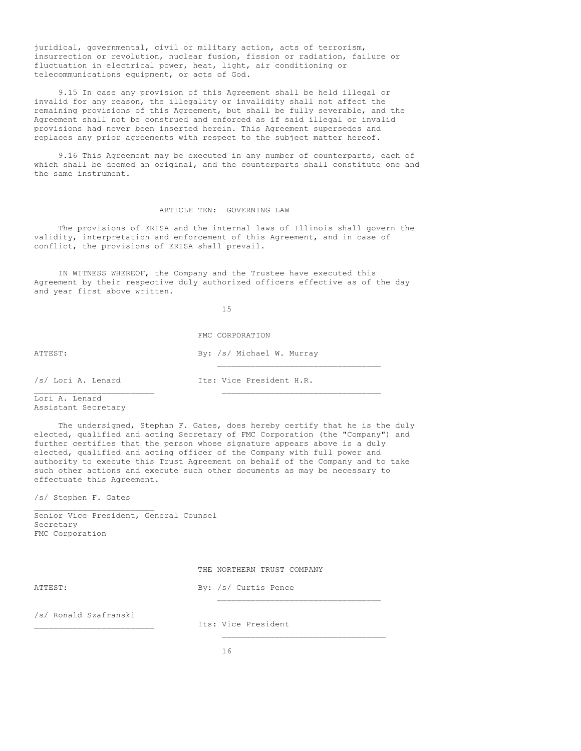juridical, governmental, civil or military action, acts of terrorism, insurrection or revolution, nuclear fusion, fission or radiation, failure or fluctuation in electrical power, heat, light, air conditioning or telecommunications equipment, or acts of God.

9.15 In case any provision of this Agreement shall be held illegal or invalid for any reason, the illegality or invalidity shall not affect the remaining provisions of this Agreement, but shall be fully severable, and the Agreement shall not be construed and enforced as if said illegal or invalid provisions had never been inserted herein. This Agreement supersedes and replaces any prior agreements with respect to the subject matter hereof.

9.16 This Agreement may be executed in any number of counterparts, each of which shall be deemed an original, and the counterparts shall constitute one and the same instrument.

# ARTICLE TEN: GOVERNING LAW

The provisions of ERISA and the internal laws of Illinois shall govern the validity, interpretation and enforcement of this Agreement, and in case of conflict, the provisions of ERISA shall prevail.

IN WITNESS WHEREOF, the Company and the Trustee have executed this Agreement by their respective duly authorized officers effective as of the day and year first above written.

15

FMC CORPORATION

ATTEST: By: /s/ Michael W. Murray

/s/ Lori A. Lenard Its: Vice President H.R.

\_\_\_\_\_\_\_\_\_\_\_\_\_\_\_\_\_\_\_\_\_\_\_\_\_\_\_\_\_\_\_\_\_\_

Lori A. Lenard Assistant Secretary

The undersigned, Stephan F. Gates, does hereby certify that he is the duly elected, qualified and acting Secretary of FMC Corporation (the "Company") and further certifies that the person whose signature appears above is a duly elected, qualified and acting officer of the Company with full power and authority to execute this Trust Agreement on behalf of the Company and to take such other actions and execute such other documents as may be necessary to effectuate this Agreement.

\_\_\_\_\_\_\_\_\_\_\_\_\_\_\_\_\_\_\_\_\_\_\_\_\_ \_\_\_\_\_\_\_\_\_\_\_\_\_\_\_\_\_\_\_\_\_\_\_\_\_\_\_\_\_\_\_\_\_

/s/ Stephen F. Gates

\_\_\_\_\_\_\_\_\_\_\_\_\_\_\_\_\_\_\_\_\_\_\_\_\_ Senior Vice President, General Counsel Secretary FMC Corporation

THE NORTHERN TRUST COMPANY

ATTEST: By: /s/ Curtis Pence \_\_\_\_\_\_\_\_\_\_\_\_\_\_\_\_\_\_\_\_\_\_\_\_\_\_\_\_\_\_\_\_\_\_

/s/ Ronald Szafranski

\_\_\_\_\_\_\_\_\_\_\_\_\_\_\_\_\_\_\_\_\_\_\_\_\_ Its: Vice President

 $\mathcal{L}_\text{max}$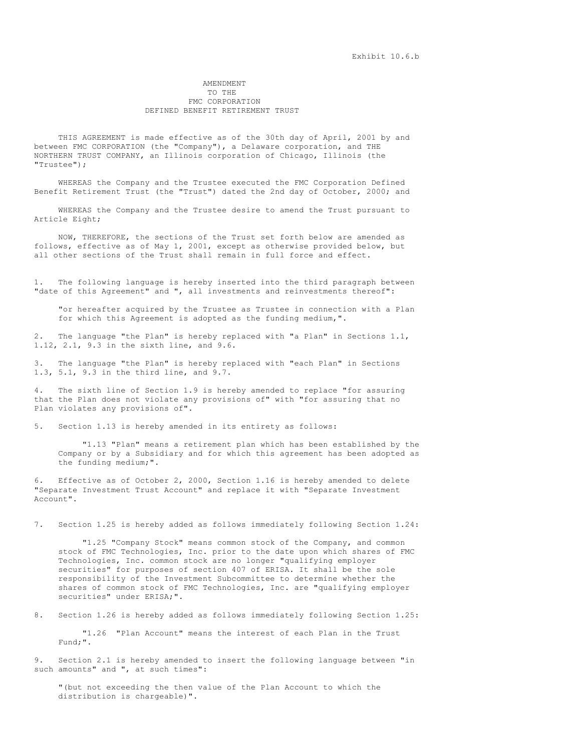## AMENDMENT TO THE FMC CORPORATION DEFINED BENEFIT RETIREMENT TRUST

THIS AGREEMENT is made effective as of the 30th day of April, 2001 by and between FMC CORPORATION (the "Company"), a Delaware corporation, and THE NORTHERN TRUST COMPANY, an Illinois corporation of Chicago, Illinois (the "Trustee");

WHEREAS the Company and the Trustee executed the FMC Corporation Defined Benefit Retirement Trust (the "Trust") dated the 2nd day of October, 2000; and

WHEREAS the Company and the Trustee desire to amend the Trust pursuant to Article Eight;

NOW, THEREFORE, the sections of the Trust set forth below are amended as follows, effective as of May 1, 2001, except as otherwise provided below, but all other sections of the Trust shall remain in full force and effect.

1. The following language is hereby inserted into the third paragraph between "date of this Agreement" and ", all investments and reinvestments thereof":

"or hereafter acquired by the Trustee as Trustee in connection with a Plan for which this Agreement is adopted as the funding medium,".

2. The language "the Plan" is hereby replaced with "a Plan" in Sections 1.1, 1.12, 2.1, 9.3 in the sixth line, and 9.6.

3. The language "the Plan" is hereby replaced with "each Plan" in Sections 1.3, 5.1, 9.3 in the third line, and 9.7.

The sixth line of Section 1.9 is hereby amended to replace "for assuring that the Plan does not violate any provisions of" with "for assuring that no Plan violates any provisions of".

5. Section 1.13 is hereby amended in its entirety as follows:

"1.13 "Plan" means a retirement plan which has been established by the Company or by a Subsidiary and for which this agreement has been adopted as the funding medium;".

6. Effective as of October 2, 2000, Section 1.16 is hereby amended to delete "Separate Investment Trust Account" and replace it with "Separate Investment Account".

7. Section 1.25 is hereby added as follows immediately following Section 1.24:

"1.25 "Company Stock" means common stock of the Company, and common stock of FMC Technologies, Inc. prior to the date upon which shares of FMC Technologies, Inc. common stock are no longer "qualifying employer securities" for purposes of section 407 of ERISA. It shall be the sole responsibility of the Investment Subcommittee to determine whether the shares of common stock of FMC Technologies, Inc. are "qualifying employer securities" under ERISA;".

8. Section 1.26 is hereby added as follows immediately following Section 1.25:

"1.26 "Plan Account" means the interest of each Plan in the Trust Fund;".

Section 2.1 is hereby amended to insert the following language between "in such amounts" and ", at such times":

"(but not exceeding the then value of the Plan Account to which the distribution is chargeable)".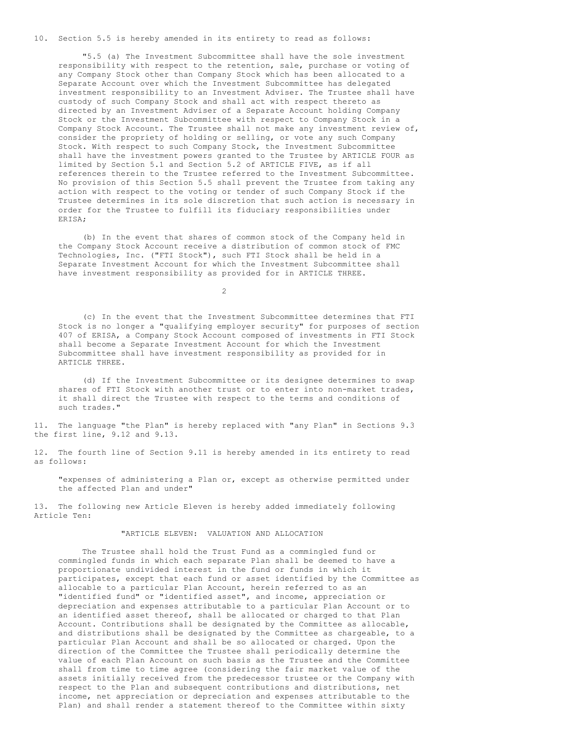10. Section 5.5 is hereby amended in its entirety to read as follows:

"5.5 (a) The Investment Subcommittee shall have the sole investment responsibility with respect to the retention, sale, purchase or voting of any Company Stock other than Company Stock which has been allocated to a Separate Account over which the Investment Subcommittee has delegated investment responsibility to an Investment Adviser. The Trustee shall have custody of such Company Stock and shall act with respect thereto as directed by an Investment Adviser of a Separate Account holding Company Stock or the Investment Subcommittee with respect to Company Stock in a Company Stock Account. The Trustee shall not make any investment review of, consider the propriety of holding or selling, or vote any such Company Stock. With respect to such Company Stock, the Investment Subcommittee shall have the investment powers granted to the Trustee by ARTICLE FOUR as limited by Section 5.1 and Section 5.2 of ARTICLE FIVE, as if all references therein to the Trustee referred to the Investment Subcommittee. No provision of this Section 5.5 shall prevent the Trustee from taking any action with respect to the voting or tender of such Company Stock if the Trustee determines in its sole discretion that such action is necessary in order for the Trustee to fulfill its fiduciary responsibilities under ERISA;

(b) In the event that shares of common stock of the Company held in the Company Stock Account receive a distribution of common stock of FMC Technologies, Inc. ("FTI Stock"), such FTI Stock shall be held in a Separate Investment Account for which the Investment Subcommittee shall have investment responsibility as provided for in ARTICLE THREE.

 $\mathcal{D}$ 

(c) In the event that the Investment Subcommittee determines that FTI Stock is no longer a "qualifying employer security" for purposes of section 407 of ERISA, a Company Stock Account composed of investments in FTI Stock shall become a Separate Investment Account for which the Investment Subcommittee shall have investment responsibility as provided for in ARTICLE THREE.

(d) If the Investment Subcommittee or its designee determines to swap shares of FTI Stock with another trust or to enter into non-market trades, it shall direct the Trustee with respect to the terms and conditions of such trades."

11. The language "the Plan" is hereby replaced with "any Plan" in Sections 9.3 the first line, 9.12 and 9.13.

12. The fourth line of Section 9.11 is hereby amended in its entirety to read as follows:

"expenses of administering a Plan or, except as otherwise permitted under the affected Plan and under"

13. The following new Article Eleven is hereby added immediately following Article Ten:

# "ARTICLE ELEVEN: VALUATION AND ALLOCATION

The Trustee shall hold the Trust Fund as a commingled fund or commingled funds in which each separate Plan shall be deemed to have a proportionate undivided interest in the fund or funds in which it participates, except that each fund or asset identified by the Committee as allocable to a particular Plan Account, herein referred to as an "identified fund" or "identified asset", and income, appreciation or depreciation and expenses attributable to a particular Plan Account or to an identified asset thereof, shall be allocated or charged to that Plan Account. Contributions shall be designated by the Committee as allocable, and distributions shall be designated by the Committee as chargeable, to a particular Plan Account and shall be so allocated or charged. Upon the direction of the Committee the Trustee shall periodically determine the value of each Plan Account on such basis as the Trustee and the Committee shall from time to time agree (considering the fair market value of the assets initially received from the predecessor trustee or the Company with respect to the Plan and subsequent contributions and distributions, net income, net appreciation or depreciation and expenses attributable to the Plan) and shall render a statement thereof to the Committee within sixty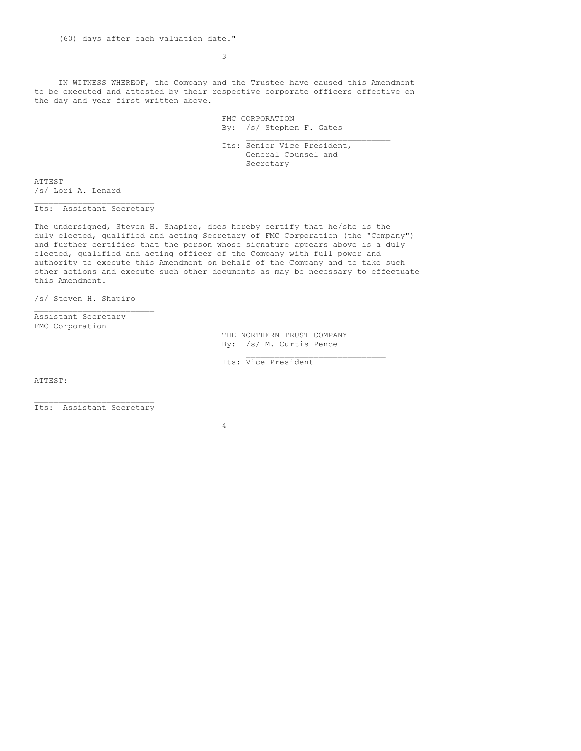(60) days after each valuation date."

3

IN WITNESS WHEREOF, the Company and the Trustee have caused this Amendment to be executed and attested by their respective corporate officers effective on the day and year first written above.

> FMC CORPORATION By: /s/ Stephen F. Gates

Its: Senior Vice President, General Counsel and Secretary

 $\mathcal{L}_\text{max}$ 

ATTEST /s/ Lori A. Lenard

\_\_\_\_\_\_\_\_\_\_\_\_\_\_\_\_\_\_\_\_\_\_\_\_\_ Its: Assistant Secretary

The undersigned, Steven H. Shapiro, does hereby certify that he/she is the duly elected, qualified and acting Secretary of FMC Corporation (the "Company") and further certifies that the person whose signature appears above is a duly elected, qualified and acting officer of the Company with full power and authority to execute this Amendment on behalf of the Company and to take such other actions and execute such other documents as may be necessary to effectuate this Amendment.

/s/ Steven H. Shapiro

 $\mathcal{L}_\text{max}$ 

Assistant Secretary FMC Corporation

> THE NORTHERN TRUST COMPANY By: /s/ M. Curtis Pence

> > $\mathcal{L}_\text{max}$

Its: Vice President

ATTEST:

 $\mathcal{L}_\text{max}$ Its: Assistant Secretary

4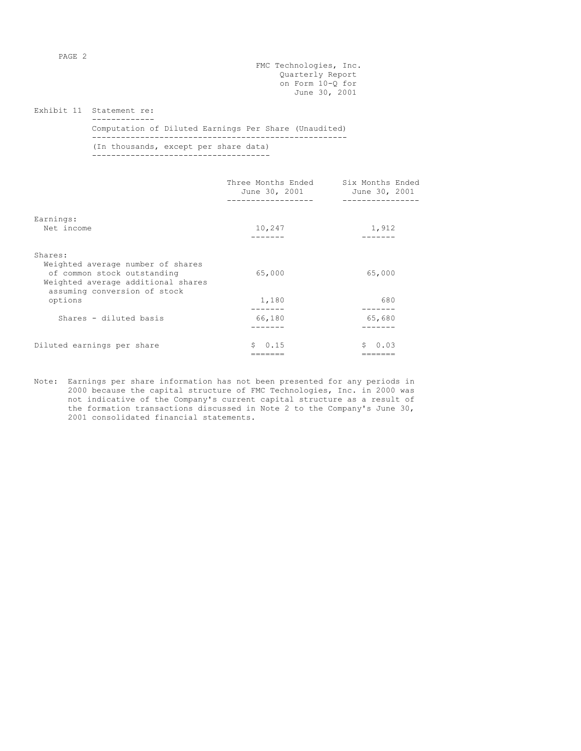PAGE 2

FMC Technologies, Inc. Quarterly Report on Form 10-Q for June 30, 2001

Exhibit 11 Statement re: -------------

Computation of Diluted Earnings Per Share (Unaudited) ----------------------------------------------------- (In thousands, except per share data) -------------------------------------

|                                                                                                                                                   | Three Months Ended<br>June 30, 2001 | Six Months Ended<br>June 30, 2001<br>-------------- |
|---------------------------------------------------------------------------------------------------------------------------------------------------|-------------------------------------|-----------------------------------------------------|
| Earnings:<br>Net income                                                                                                                           | 10,247                              | 1,912                                               |
| Shares:<br>Weighted average number of shares<br>of common stock outstanding<br>Weighted average additional shares<br>assuming conversion of stock | 65,000                              | 65,000                                              |
| options                                                                                                                                           | 1,180                               | 680                                                 |
| Shares - diluted basis                                                                                                                            | 66,180                              | 65,680                                              |
| Diluted earnings per share                                                                                                                        | S.<br>0.15                          | S.<br>0.03                                          |

Note: Earnings per share information has not been presented for any periods in 2000 because the capital structure of FMC Technologies, Inc. in 2000 was not indicative of the Company's current capital structure as a result of the formation transactions discussed in Note 2 to the Company's June 30, 2001 consolidated financial statements.